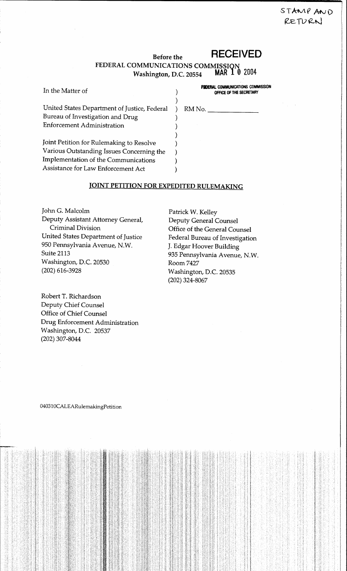# STAMP AND RETURN

### **RECEIVED Before the** FEDERAL COMMUNICATIONS COMMISSION<br>Washington D.C. 20554 MAR 1 0 2004 Washington, D.C. 20554

| In the Matter of                             | OFFICE OF THE SE |
|----------------------------------------------|------------------|
| United States Department of Justice, Federal | RM No.           |
| Bureau of Investigation and Drug             |                  |
| <b>Enforcement Administration</b>            |                  |
|                                              |                  |
| Joint Petition for Rulemaking to Resolve     |                  |
| Various Outstanding Issues Concerning the    |                  |
| Implementation of the Communications         |                  |
| Assistance for Law Enforcement Act           |                  |
|                                              |                  |

FEDERAL COMMUNICATIONS COMMISSION OFFICE OF THE SECRETARY

## **JOINT PETITION FOR EXPEDITED RULEMAKING**

John G. Malcolm Deputy Assistant Attorney General, Criminal Division United States Department of Justice 950 Pennsylvania Avenue, N.W. Suite 2113 Washington, D.C. 20530  $(202)$  616-3928

Patrick W. Kelley **Deputy General Counsel** Office of the General Counsel Federal Bureau of Investigation J. Edgar Hoover Building 935 Pennsylvania Avenue, N.W. Room 7427 Washington, D.C. 20535  $(202)$  324-8067

Robert T. Richardson Deputy Chief Counsel Office of Chief Counsel Drug Enforcement Administration Washington, D.C. 20537 (202) 307-8044

040310CALEARulemakingPetition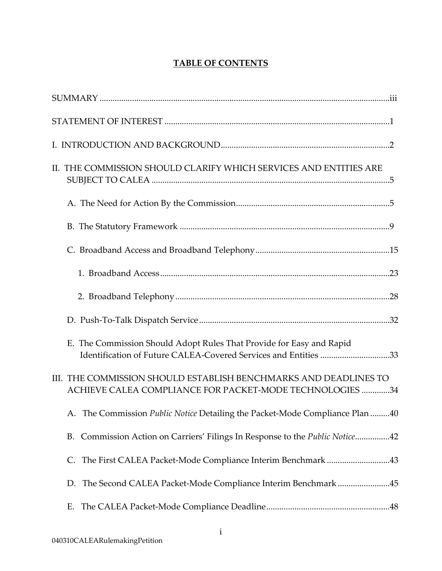## **TABLE OF CONTENTS**

| II. THE COMMISSION SHOULD CLARIFY WHICH SERVICES AND ENTITIES ARE                                                                       |  |
|-----------------------------------------------------------------------------------------------------------------------------------------|--|
|                                                                                                                                         |  |
|                                                                                                                                         |  |
|                                                                                                                                         |  |
|                                                                                                                                         |  |
|                                                                                                                                         |  |
|                                                                                                                                         |  |
| E. The Commission Should Adopt Rules That Provide for Easy and Rapid<br>Identification of Future CALEA-Covered Services and Entities 33 |  |
| III. THE COMMISSION SHOULD ESTABLISH BENCHMARKS AND DEADLINES TO<br>ACHIEVE CALEA COMPLIANCE FOR PACKET-MODE TECHNOLOGIES 34            |  |
| A. The Commission Public Notice Detailing the Packet-Mode Compliance Plan 40                                                            |  |
| B. Commission Action on Carriers' Filings In Response to the Public Notice42                                                            |  |
| The First CALEA Packet-Mode Compliance Interim Benchmark 43<br>C.                                                                       |  |
| The Second CALEA Packet-Mode Compliance Interim Benchmark 45<br>D.                                                                      |  |
| Е.                                                                                                                                      |  |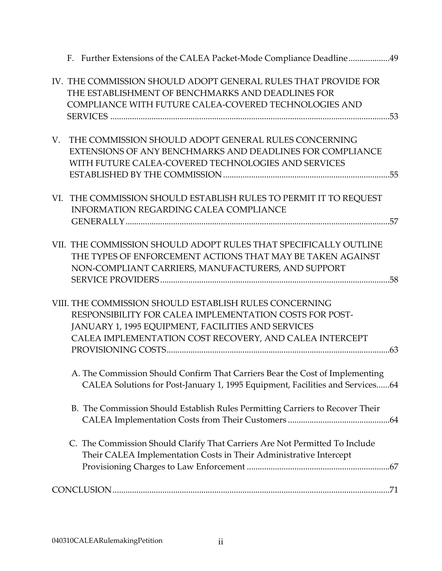|     | F. Further Extensions of the CALEA Packet-Mode Compliance Deadline49                                                                                                                                                               |  |
|-----|------------------------------------------------------------------------------------------------------------------------------------------------------------------------------------------------------------------------------------|--|
|     | IV. THE COMMISSION SHOULD ADOPT GENERAL RULES THAT PROVIDE FOR<br>THE ESTABLISHMENT OF BENCHMARKS AND DEADLINES FOR<br>COMPLIANCE WITH FUTURE CALEA-COVERED TECHNOLOGIES AND                                                       |  |
| V.  | THE COMMISSION SHOULD ADOPT GENERAL RULES CONCERNING<br>EXTENSIONS OF ANY BENCHMARKS AND DEADLINES FOR COMPLIANCE<br>WITH FUTURE CALEA-COVERED TECHNOLOGIES AND SERVICES                                                           |  |
| VI. | THE COMMISSION SHOULD ESTABLISH RULES TO PERMIT IT TO REQUEST<br><b>INFORMATION REGARDING CALEA COMPLIANCE</b>                                                                                                                     |  |
|     | VII. THE COMMISSION SHOULD ADOPT RULES THAT SPECIFICALLY OUTLINE<br>THE TYPES OF ENFORCEMENT ACTIONS THAT MAY BE TAKEN AGAINST<br>NON-COMPLIANT CARRIERS, MANUFACTURERS, AND SUPPORT                                               |  |
|     | VIII. THE COMMISSION SHOULD ESTABLISH RULES CONCERNING<br>RESPONSIBILITY FOR CALEA IMPLEMENTATION COSTS FOR POST-<br>JANUARY 1, 1995 EQUIPMENT, FACILITIES AND SERVICES<br>CALEA IMPLEMENTATION COST RECOVERY, AND CALEA INTERCEPT |  |
|     | A. The Commission Should Confirm That Carriers Bear the Cost of Implementing<br>CALEA Solutions for Post-January 1, 1995 Equipment, Facilities and Services64                                                                      |  |
|     | B. The Commission Should Establish Rules Permitting Carriers to Recover Their                                                                                                                                                      |  |
|     | C. The Commission Should Clarify That Carriers Are Not Permitted To Include<br>Their CALEA Implementation Costs in Their Administrative Intercept                                                                                  |  |
|     |                                                                                                                                                                                                                                    |  |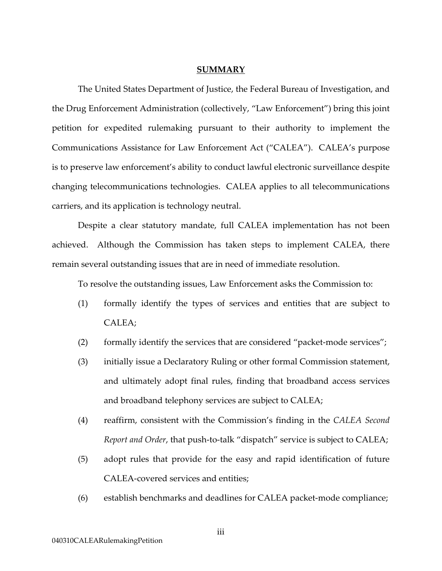#### **SUMMARY**

The United States Department of Justice, the Federal Bureau of Investigation, and the Drug Enforcement Administration (collectively, "Law Enforcement") bring this joint petition for expedited rulemaking pursuant to their authority to implement the Communications Assistance for Law Enforcement Act ("CALEA"). CALEA's purpose is to preserve law enforcement's ability to conduct lawful electronic surveillance despite changing telecommunications technologies. CALEA applies to all telecommunications carriers, and its application is technology neutral.

Despite a clear statutory mandate, full CALEA implementation has not been achieved. Although the Commission has taken steps to implement CALEA, there remain several outstanding issues that are in need of immediate resolution.

To resolve the outstanding issues, Law Enforcement asks the Commission to:

- (1) formally identify the types of services and entities that are subject to CALEA;
- (2) formally identify the services that are considered "packet-mode services";
- (3) initially issue a Declaratory Ruling or other formal Commission statement, and ultimately adopt final rules, finding that broadband access services and broadband telephony services are subject to CALEA;
- (4) reaffirm, consistent with the Commission's finding in the *CALEA Second Report and Order*, that push-to-talk "dispatch" service is subject to CALEA;
- (5) adopt rules that provide for the easy and rapid identification of future CALEA-covered services and entities;
- (6) establish benchmarks and deadlines for CALEA packet-mode compliance;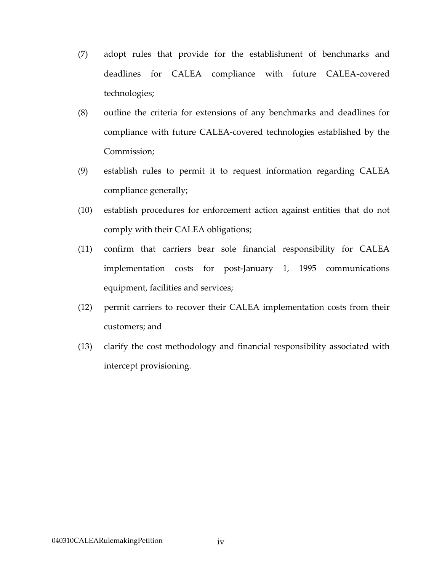- (7) adopt rules that provide for the establishment of benchmarks and deadlines for CALEA compliance with future CALEA-covered technologies;
- (8) outline the criteria for extensions of any benchmarks and deadlines for compliance with future CALEA-covered technologies established by the Commission;
- (9) establish rules to permit it to request information regarding CALEA compliance generally;
- (10) establish procedures for enforcement action against entities that do not comply with their CALEA obligations;
- (11) confirm that carriers bear sole financial responsibility for CALEA implementation costs for post-January 1, 1995 communications equipment, facilities and services;
- (12) permit carriers to recover their CALEA implementation costs from their customers; and
- (13) clarify the cost methodology and financial responsibility associated with intercept provisioning.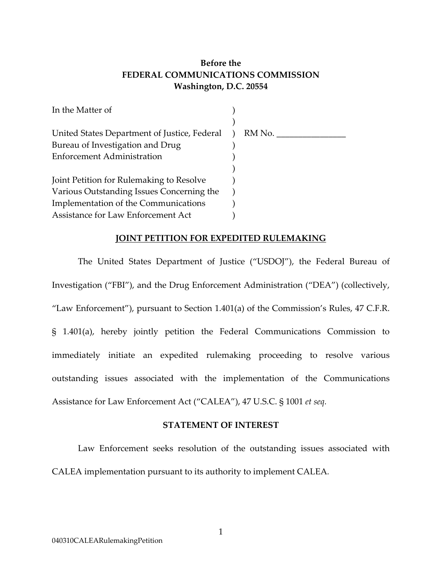## **Before the FEDERAL COMMUNICATIONS COMMISSION Washington, D.C. 20554**

| In the Matter of                             |        |
|----------------------------------------------|--------|
|                                              |        |
| United States Department of Justice, Federal | RM No. |
| Bureau of Investigation and Drug             |        |
| <b>Enforcement Administration</b>            |        |
|                                              |        |
| Joint Petition for Rulemaking to Resolve     |        |
| Various Outstanding Issues Concerning the    |        |
| Implementation of the Communications         |        |
| Assistance for Law Enforcement Act           |        |

## **JOINT PETITION FOR EXPEDITED RULEMAKING**

The United States Department of Justice ("USDOJ"), the Federal Bureau of Investigation ("FBI"), and the Drug Enforcement Administration ("DEA") (collectively, "Law Enforcement"), pursuant to Section 1.401(a) of the Commission's Rules, 47 C.F.R. § 1.401(a), hereby jointly petition the Federal Communications Commission to immediately initiate an expedited rulemaking proceeding to resolve various outstanding issues associated with the implementation of the Communications Assistance for Law Enforcement Act ("CALEA"), 47 U.S.C. § 1001 *et seq.*

## **STATEMENT OF INTEREST**

Law Enforcement seeks resolution of the outstanding issues associated with CALEA implementation pursuant to its authority to implement CALEA*.*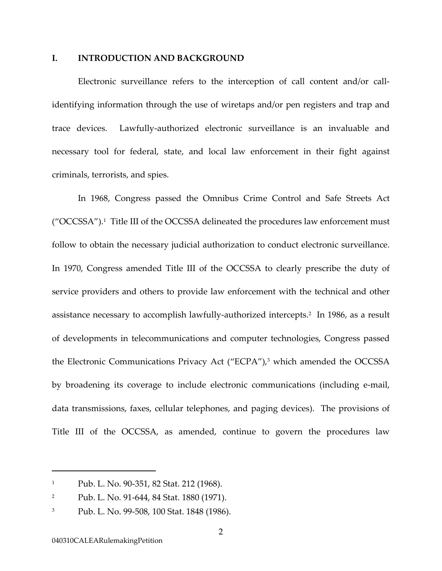#### **I. INTRODUCTION AND BACKGROUND**

Electronic surveillance refers to the interception of call content and/or callidentifying information through the use of wiretaps and/or pen registers and trap and trace devices. Lawfully-authorized electronic surveillance is an invaluable and necessary tool for federal, state, and local law enforcement in their fight against criminals, terrorists, and spies.

In 1968, Congress passed the Omnibus Crime Control and Safe Streets Act ("OCCSSA")[.1](#page-6-0) Title III of the OCCSSA delineated the procedures law enforcement must follow to obtain the necessary judicial authorization to conduct electronic surveillance. In 1970, Congress amended Title III of the OCCSSA to clearly prescribe the duty of service providers and others to provide law enforcement with the technical and other assistance necessary to accomplish lawfully-authorized intercepts.[2](#page-6-1) In 1986, as a result of developments in telecommunications and computer technologies, Congress passed the Electronic Communications Privacy Act ("ECPA"),[3](#page-6-2) which amended the OCCSSA by broadening its coverage to include electronic communications (including e-mail, data transmissions, faxes, cellular telephones, and paging devices). The provisions of Title III of the OCCSSA, as amended, continue to govern the procedures law

<span id="page-6-0"></span><sup>1</sup> Pub. L. No. 90-351, 82 Stat. 212 (1968).

<span id="page-6-1"></span><sup>2</sup> Pub. L. No. 91-644, 84 Stat. 1880 (1971).

<span id="page-6-2"></span><sup>3</sup> Pub. L. No. 99-508, 100 Stat. 1848 (1986).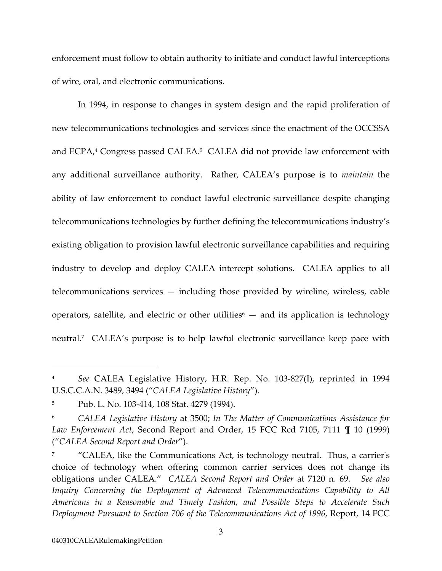<span id="page-7-3"></span>enforcement must follow to obtain authority to initiate and conduct lawful interceptions of wire, oral, and electronic communications.

In 1994, in response to changes in system design and the rapid proliferation of new telecommunications technologies and services since the enactment of the OCCSSA and ECPA,<sup>4</sup> Congress passed CALEA.<sup>5</sup> CALEA did not provide law enforcement with any additional surveillance authority. Rather, CALEA's purpose is to *maintain* the ability of law enforcement to conduct lawful electronic surveillance despite changing telecommunications technologies by further defining the telecommunications industry's existing obligation to provision lawful electronic surveillance capabilities and requiring industry to develop and deploy CALEA intercept solutions. CALEA applies to all telecommunications services — including those provided by wireline, wireless, cable operators, satellite, and electric or other utilities<sup> $6$ </sup> – and its application is technology neutral[.7](#page-7-3) CALEA's purpose is to help lawful electronic surveillance keep pace with

<span id="page-7-0"></span><sup>4</sup> *See* CALEA Legislative History, H.R. Rep. No. 103-827(I), reprinted in 1994 U.S.C.C.A.N. 3489, 3494 ("*CALEA Legislative History*").

<span id="page-7-1"></span><sup>5</sup> Pub. L. No. 103-414, 108 Stat. 4279 (1994).

<span id="page-7-2"></span><sup>6</sup> *CALEA Legislative History* at 3500; *In The Matter of Communications Assistance for Law Enforcement Act*, Second Report and Order, 15 FCC Rcd 7105, 7111 ¶ 10 (1999) ("*CALEA Second Report and Order*").

<sup>7</sup> "CALEA, like the Communications Act, is technology neutral. Thus, a carrier's choice of technology when offering common carrier services does not change its obligations under CALEA." *CALEA Second Report and Order* at 7120 n. 69. *See also Inquiry Concerning the Deployment of Advanced Telecommunications Capability to All Americans in a Reasonable and Timely Fashion, and Possible Steps to Accelerate Such Deployment Pursuant to Section 706 of the Telecommunications Act of 1996*, Report, 14 FCC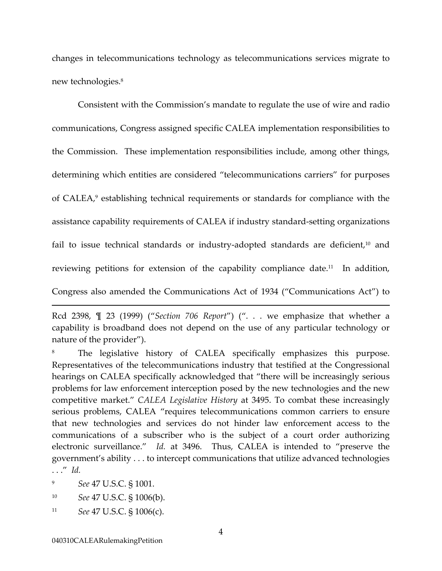changes in telecommunications technology as telecommunications services migrate to new technologies[.8](#page-8-0) 

Consistent with the Commission's mandate to regulate the use of wire and radio communications, Congress assigned specific CALEA implementation responsibilities to the Commission. These implementation responsibilities include, among other things, determining which entities are considered "telecommunications carriers" for purposes of CALEA,<sup>9</sup> establishing technical requirements or standards for compliance with the assistance capability requirements of CALEA if industry standard-setting organizations fail to issue technical standards or industry-adopted standards are deficient,<sup>10</sup> and reviewing petitions for extension of the capability compliance date.<sup>11</sup> In addition, Congress also amended the Communications Act of 1934 ("Communications Act") to

<span id="page-8-0"></span>The legislative history of CALEA specifically emphasizes this purpose. Representatives of the telecommunications industry that testified at the Congressional hearings on CALEA specifically acknowledged that "there will be increasingly serious problems for law enforcement interception posed by the new technologies and the new competitive market." *CALEA Legislative History* at 3495. To combat these increasingly serious problems, CALEA "requires telecommunications common carriers to ensure that new technologies and services do not hinder law enforcement access to the communications of a subscriber who is the subject of a court order authorizing electronic surveillance." *Id.* at 3496. Thus, CALEA is intended to "preserve the government's ability . . . to intercept communications that utilize advanced technologies . . ." *Id.*

<span id="page-8-1"></span>9 *See* 47 U.S.C. § 1001.

-

<span id="page-8-2"></span>10 *See* 47 U.S.C. § 1006(b).

Rcd 2398, ¶ 23 (1999) ("*Section 706 Report*") (". . . we emphasize that whether a capability is broadband does not depend on the use of any particular technology or nature of the provider").

<span id="page-8-3"></span><sup>11</sup> *See* 47 U.S.C. § 1006(c).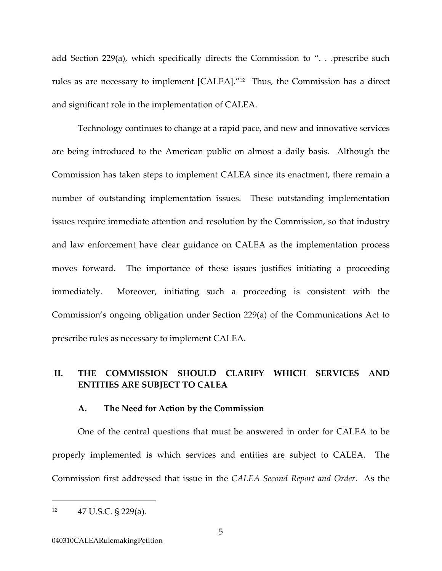add Section 229(a), which specifically directs the Commission to ". . .prescribe such rules as are necessary to implement [CALEA].["12](#page-9-0) Thus, the Commission has a direct and significant role in the implementation of CALEA.

Technology continues to change at a rapid pace, and new and innovative services are being introduced to the American public on almost a daily basis. Although the Commission has taken steps to implement CALEA since its enactment, there remain a number of outstanding implementation issues. These outstanding implementation issues require immediate attention and resolution by the Commission, so that industry and law enforcement have clear guidance on CALEA as the implementation process moves forward. The importance of these issues justifies initiating a proceeding immediately. Moreover, initiating such a proceeding is consistent with the Commission's ongoing obligation under Section 229(a) of the Communications Act to prescribe rules as necessary to implement CALEA.

## **II. THE COMMISSION SHOULD CLARIFY WHICH SERVICES AND ENTITIES ARE SUBJECT TO CALEA**

## **A. The Need for Action by the Commission**

One of the central questions that must be answered in order for CALEA to be properly implemented is which services and entities are subject to CALEA. The Commission first addressed that issue in the *CALEA Second Report and Order*. As the

<span id="page-9-0"></span> $12 \qquad 47 \text{ U.S.C. }$  § 229(a).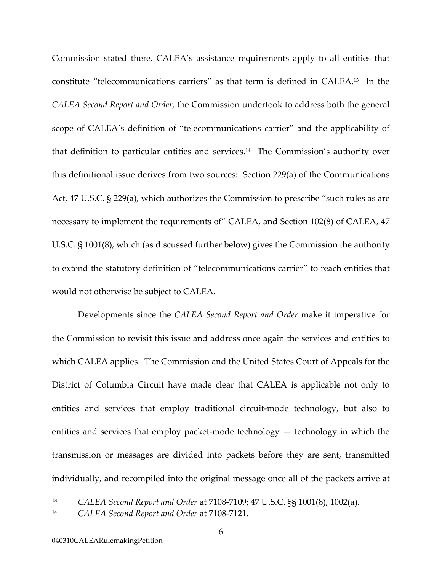Commission stated there, CALEA's assistance requirements apply to all entities that constitute "telecommunications carriers" as that term is defined in CALEA.[13](#page-10-0) In the *CALEA Second Report and Order*, the Commission undertook to address both the general scope of CALEA's definition of "telecommunications carrier" and the applicability of that definition to particular entities and services.<sup>14</sup> The Commission's authority over this definitional issue derives from two sources: Section 229(a) of the Communications Act, 47 U.S.C. § 229(a), which authorizes the Commission to prescribe "such rules as are necessary to implement the requirements of" CALEA, and Section 102(8) of CALEA, 47 U.S.C. § 1001(8), which (as discussed further below) gives the Commission the authority to extend the statutory definition of "telecommunications carrier" to reach entities that would not otherwise be subject to CALEA.

Developments since the *CALEA Second Report and Order* make it imperative for the Commission to revisit this issue and address once again the services and entities to which CALEA applies. The Commission and the United States Court of Appeals for the District of Columbia Circuit have made clear that CALEA is applicable not only to entities and services that employ traditional circuit-mode technology, but also to entities and services that employ packet-mode technology — technology in which the transmission or messages are divided into [packets](http://www.webopaedia.com/TERM/p/packet.html) before they are sent, transmitted individually, and recompiled into the original message once all of the packets arrive at

<span id="page-10-0"></span><sup>13</sup> *CALEA Second Report and Order* at 7108-7109; 47 U.S.C. §§ 1001(8), 1002(a).

<span id="page-10-1"></span><sup>14</sup> *CALEA Second Report and Order* at 7108-7121.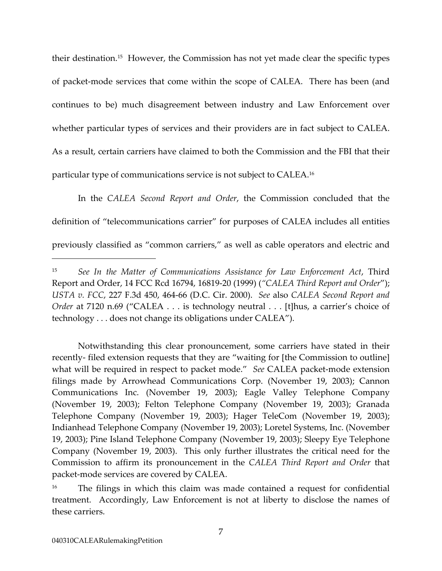their destination.[15](#page-11-0) However, the Commission has not yet made clear the specific types of packet-mode services that come within the scope of CALEA. There has been (and continues to be) much disagreement between industry and Law Enforcement over whether particular types of services and their providers are in fact subject to CALEA. As a result, certain carriers have claimed to both the Commission and the FBI that their particular type of communications service is not subject to CALEA[.16](#page-11-1)

In the *CALEA Second Report and Order*, the Commission concluded that the definition of "telecommunications carrier" for purposes of CALEA includes all entities previously classified as "common carriers," as well as cable operators and electric and

Notwithstanding this clear pronouncement, some carriers have stated in their recently- filed extension requests that they are "waiting for [the Commission to outline] what will be required in respect to packet mode." *See* CALEA packet-mode extension filings made by Arrowhead Communications Corp. (November 19, 2003); Cannon Communications Inc. (November 19, 2003); Eagle Valley Telephone Company (November 19, 2003); Felton Telephone Company (November 19, 2003); Granada Telephone Company (November 19, 2003); Hager TeleCom (November 19, 2003); Indianhead Telephone Company (November 19, 2003); Loretel Systems, Inc. (November 19, 2003); Pine Island Telephone Company (November 19, 2003); Sleepy Eye Telephone Company (November 19, 2003). This only further illustrates the critical need for the Commission to affirm its pronouncement in the *CALEA Third Report and Order* that packet-mode services are covered by CALEA.

<span id="page-11-0"></span><sup>15</sup> *See In the Matter of Communications Assistance for Law Enforcement Act*, Third Report and Order, 14 FCC Rcd 16794, 16819-20 (1999) (*"CALEA Third Report and Order*"); *USTA v. FCC*, 227 F.3d 450, 464-66 (D.C. Cir. 2000). *See* also *CALEA Second Report and Order* at 7120 n.69 ("CALEA . . . is technology neutral . . . [t]hus, a carrier's choice of technology . . . does not change its obligations under CALEA").

<span id="page-11-1"></span>The filings in which this claim was made contained a request for confidential treatment. Accordingly, Law Enforcement is not at liberty to disclose the names of these carriers.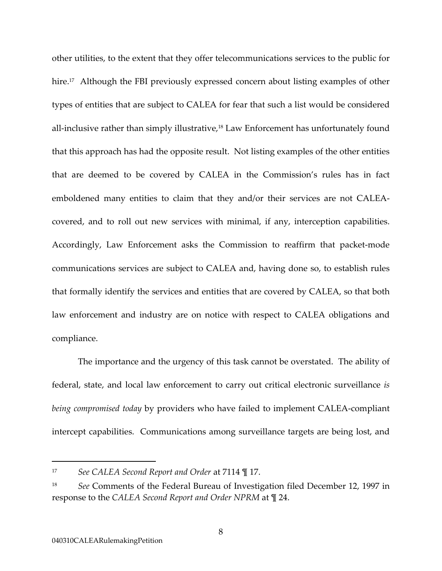other utilities, to the extent that they offer telecommunications services to the public for hire.<sup>17</sup> Although the FBI previously expressed concern about listing examples of other types of entities that are subject to CALEA for fear that such a list would be considered all-inclusive rather than simply illustrative,<sup>18</sup> Law Enforcement has unfortunately found that this approach has had the opposite result. Not listing examples of the other entities that are deemed to be covered by CALEA in the Commission's rules has in fact emboldened many entities to claim that they and/or their services are not CALEAcovered, and to roll out new services with minimal, if any, interception capabilities. Accordingly, Law Enforcement asks the Commission to reaffirm that packet-mode communications services are subject to CALEA and, having done so, to establish rules that formally identify the services and entities that are covered by CALEA, so that both law enforcement and industry are on notice with respect to CALEA obligations and compliance.

The importance and the urgency of this task cannot be overstated. The ability of federal, state, and local law enforcement to carry out critical electronic surveillance *is being compromised today* by providers who have failed to implement CALEA-compliant intercept capabilities. Communications among surveillance targets are being lost, and

<span id="page-12-0"></span><sup>17</sup> *See CALEA Second Report and Order* at 7114 ¶ 17.

<span id="page-12-1"></span><sup>18</sup> *See* Comments of the Federal Bureau of Investigation filed December 12, 1997 in response to the *CALEA Second Report and Order NPRM* at ¶ 24.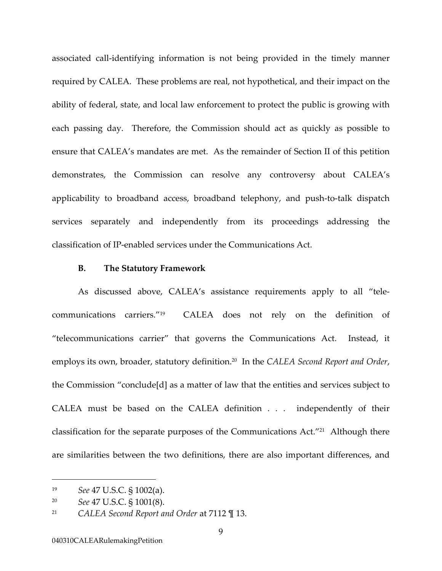associated call-identifying information is not being provided in the timely manner required by CALEA. These problems are real, not hypothetical, and their impact on the ability of federal, state, and local law enforcement to protect the public is growing with each passing day. Therefore, the Commission should act as quickly as possible to ensure that CALEA's mandates are met. As the remainder of Section II of this petition demonstrates, the Commission can resolve any controversy about CALEA's applicability to broadband access, broadband telephony, and push-to-talk dispatch services separately and independently from its proceedings addressing the classification of IP-enabled services under the Communications Act.

#### **B. The Statutory Framework**

As discussed above, CALEA's assistance requirements apply to all "telecommunications carriers."[19](#page-13-0) CALEA does not rely on the definition of "telecommunications carrier" that governs the Communications Act. Instead, it employs its own, broader, statutory definition.[20](#page-13-1) In the *CALEA Second Report and Order*, the Commission "conclude[d] as a matter of law that the entities and services subject to CALEA must be based on the CALEA definition . . . independently of their classification for the separate purposes of the Communications Act."[21](#page-13-2) Although there are similarities between the two definitions, there are also important differences, and

<span id="page-13-0"></span><sup>19</sup> *See* 47 U.S.C. § 1002(a).

<span id="page-13-1"></span><sup>20</sup> *See* 47 U.S.C. § 1001(8).

<span id="page-13-2"></span><sup>21</sup> *CALEA Second Report and Order* at 7112 ¶ 13.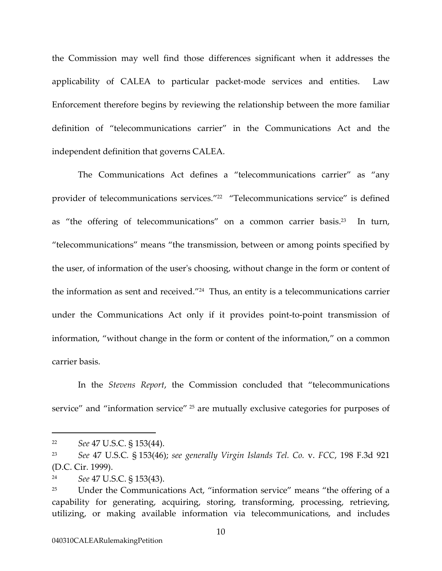<span id="page-14-3"></span>the Commission may well find those differences significant when it addresses the applicability of CALEA to particular packet-mode services and entities. Law Enforcement therefore begins by reviewing the relationship between the more familiar definition of "telecommunications carrier" in the Communications Act and the independent definition that governs CALEA.

The Communications Act defines a "telecommunications carrier" as "any provider of telecommunications services."[22](#page-14-0) "Telecommunications service" is defined as "the offering of telecommunications" on a common carrier basis.<sup>23</sup> In turn, "telecommunications" means "the transmission, between or among points specified by the user, of information of the user's choosing, without change in the form or content of the information as sent and received.["24](#page-14-2) Thus, an entity is a telecommunications carrier under the Communications Act only if it provides point-to-point transmission of information, "without change in the form or content of the information," on a common carrier basis.

In the *Stevens Report*, the Commission concluded that "telecommunications service" and "information service" <sup>25</sup> are mutually exclusive categories for purposes of

<span id="page-14-0"></span><sup>22</sup> *See* 47 U.S.C. § 153(44).

<span id="page-14-1"></span><sup>23</sup> *See* 47 U.S.C*.* § 153(46); *see generally Virgin Islands Tel. Co.* v. *FCC*, 198 F.3d 921 (D.C. Cir. 1999).

<span id="page-14-2"></span><sup>24</sup> *See* 47 U.S.C. § 153(43).

<sup>&</sup>lt;sup>25</sup> Under the Communications Act, "information service" means "the offering of a capability for generating, acquiring, storing, transforming, processing, retrieving, utilizing, or making available information via telecommunications, and includes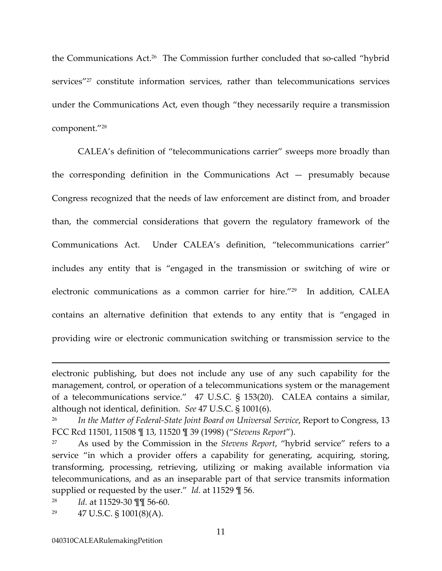the Communications Act[.26](#page-15-0) The Commission further concluded that so-called "hybrid services"<sup>27</sup> constitute information services, rather than telecommunications services under the Communications Act, even though "they necessarily require a transmission component."[28](#page-15-2) 

 CALEA's definition of "telecommunications carrier" sweeps more broadly than the corresponding definition in the Communications  $Act - presumably$  because Congress recognized that the needs of law enforcement are distinct from, and broader than, the commercial considerations that govern the regulatory framework of the Communications Act. Under CALEA's definition, "telecommunications carrier" includes any entity that is "engaged in the transmission or switching of wire or electronic communications as a common carrier for hire."[29](#page-15-3) In addition, CALEA contains an alternative definition that extends to any entity that is "engaged in providing wire or electronic communication switching or transmission service to the

electronic publishing, but does not include any use of any such capability for the management, control, or operation of a telecommunications system or the management of a telecommunications service." 47 U.S.C. § 153(20). CALEA contains a similar, although not identical, definition. *See* 47 U.S.C. § 1001(6).

<span id="page-15-0"></span><sup>26</sup> *In the Matter of Federal-State Joint Board on Universal Service*, Report to Congress, 13 FCC Rcd 11501, 11508 ¶ 13, 11520 ¶ 39 (1998) ("*Stevens Report*").

<span id="page-15-1"></span><sup>27</sup> As used by the Commission in the *Stevens Report*, "hybrid service" refers to a service "in which a provider offers a capability for generating, acquiring, storing, transforming, processing, retrieving, utilizing or making available information via telecommunications, and as an inseparable part of that service transmits information supplied or requested by the user." *Id.* at 11529 ¶ 56.

<span id="page-15-2"></span><sup>28</sup> *Id.* at 11529-30 ¶¶ 56-60.

<span id="page-15-3"></span><sup>&</sup>lt;sup>29</sup> 47 U.S.C. § 1001(8)(A).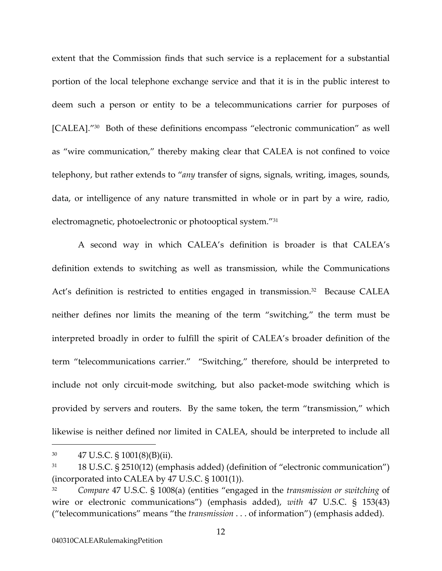extent that the Commission finds that such service is a replacement for a substantial portion of the local telephone exchange service and that it is in the public interest to deem such a person or entity to be a telecommunications carrier for purposes of [CALEA]."[30](#page-16-0) Both of these definitions encompass "electronic communication" as well as "wire communication," thereby making clear that CALEA is not confined to voice telephony, but rather extends to "*any* transfer of signs, signals, writing, images, sounds, data, or intelligence of any nature transmitted in whole or in part by a wire, radio, electromagnetic, photoelectronic or photooptical system."[31](#page-16-1) 

A second way in which CALEA's definition is broader is that CALEA's definition extends to switching as well as transmission, while the Communications Act's definition is restricted to entities engaged in transmission.<sup>32</sup> Because CALEA neither defines nor limits the meaning of the term "switching," the term must be interpreted broadly in order to fulfill the spirit of CALEA's broader definition of the term "telecommunications carrier." "Switching," therefore, should be interpreted to include not only circuit-mode switching, but also packet-mode switching which is provided by servers and routers. By the same token, the term "transmission," which likewise is neither defined nor limited in CALEA, should be interpreted to include all

<span id="page-16-0"></span><sup>30 47</sup> U.S.C. § 1001(8)(B)(ii).

<span id="page-16-1"></span><sup>31</sup> 18 U.S.C. § 2510(12) (emphasis added) (definition of "electronic communication") (incorporated into CALEA by 47 U.S.C. § 1001(1)).

<span id="page-16-2"></span><sup>32</sup> *Compare* 47 U.S.C. § 1008(a) (entities "engaged in the *transmission or switching* of wire or electronic communications") (emphasis added), *with* 47 U.S.C. § 153(43) ("telecommunications" means "the *transmission* . . . of information") (emphasis added).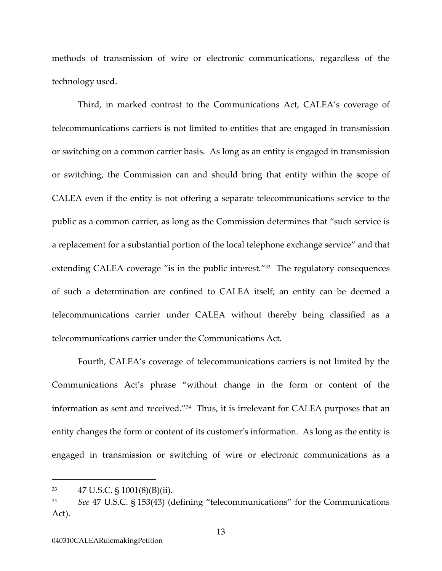methods of transmission of wire or electronic communications, regardless of the technology used.

Third, in marked contrast to the Communications Act, CALEA's coverage of telecommunications carriers is not limited to entities that are engaged in transmission or switching on a common carrier basis. As long as an entity is engaged in transmission or switching, the Commission can and should bring that entity within the scope of CALEA even if the entity is not offering a separate telecommunications service to the public as a common carrier, as long as the Commission determines that "such service is a replacement for a substantial portion of the local telephone exchange service" and that extending CALEA coverage "is in the public interest."<sup>33</sup> The regulatory consequences of such a determination are confined to CALEA itself; an entity can be deemed a telecommunications carrier under CALEA without thereby being classified as a telecommunications carrier under the Communications Act.

Fourth, CALEA's coverage of telecommunications carriers is not limited by the Communications Act's phrase "without change in the form or content of the information as sent and received."[34](#page-17-1) Thus, it is irrelevant for CALEA purposes that an entity changes the form or content of its customer's information. As long as the entity is engaged in transmission or switching of wire or electronic communications as a

<span id="page-17-0"></span><sup>33 47</sup> U.S.C. § 1001(8)(B)(ii).

<span id="page-17-1"></span><sup>34</sup> *See* 47 U.S.C. § 153(43) (defining "telecommunications" for the Communications Act).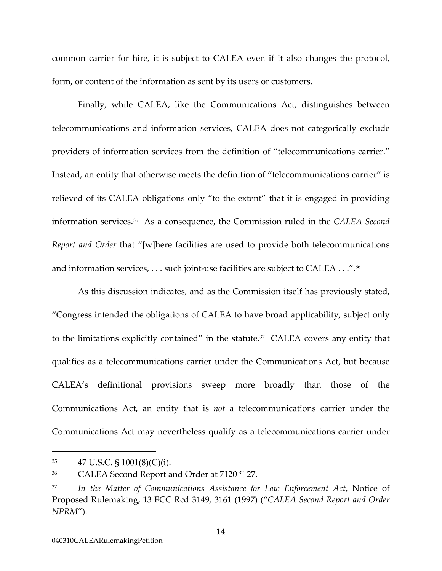common carrier for hire, it is subject to CALEA even if it also changes the protocol, form, or content of the information as sent by its users or customers.

Finally, while CALEA, like the Communications Act, distinguishes between telecommunications and information services, CALEA does not categorically exclude providers of information services from the definition of "telecommunications carrier." Instead, an entity that otherwise meets the definition of "telecommunications carrier" is relieved of its CALEA obligations only "to the extent" that it is engaged in providing information services.[35](#page-18-0) As a consequence, the Commission ruled in the *CALEA Second Report and Order* that "[w]here facilities are used to provide both telecommunications and information services, . . . such joint-use facilities are subject to CALEA . . .".[36](#page-18-1) 

As this discussion indicates, and as the Commission itself has previously stated, "Congress intended the obligations of CALEA to have broad applicability, subject only to the limitations explicitly contained" in the statute.<sup>37</sup> CALEA covers any entity that qualifies as a telecommunications carrier under the Communications Act, but because CALEA's definitional provisions sweep more broadly than those of the Communications Act, an entity that is *not* a telecommunications carrier under the Communications Act may nevertheless qualify as a telecommunications carrier under

<span id="page-18-0"></span> $35 \qquad 47 \text{ U.S.C. } $1001(8)(\text{C})(i).$ 

<span id="page-18-1"></span><sup>36</sup> CALEA Second Report and Order at 7120 ¶ 27.

<span id="page-18-2"></span><sup>37</sup> *In the Matter of Communications Assistance for Law Enforcement Act*, Notice of Proposed Rulemaking, 13 FCC Rcd 3149, 3161 (1997) ("*CALEA Second Report and Order NPRM*").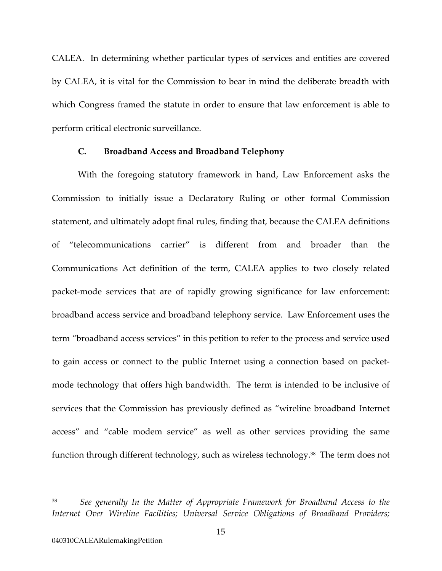<span id="page-19-0"></span>CALEA. In determining whether particular types of services and entities are covered by CALEA, it is vital for the Commission to bear in mind the deliberate breadth with which Congress framed the statute in order to ensure that law enforcement is able to perform critical electronic surveillance.

### **C. Broadband Access and Broadband Telephony**

With the foregoing statutory framework in hand, Law Enforcement asks the Commission to initially issue a Declaratory Ruling or other formal Commission statement, and ultimately adopt final rules, finding that, because the CALEA definitions of "telecommunications carrier" is different from and broader than the Communications Act definition of the term, CALEA applies to two closely related packet-mode services that are of rapidly growing significance for law enforcement: broadband access service and broadband telephony service. Law Enforcement uses the term "broadband access services" in this petition to refer to the process and service used to gain access or connect to the public Internet using a connection based on packetmode technology that offers high bandwidth. The term is intended to be inclusive of services that the Commission has previously defined as "wireline broadband Internet access" and "cable modem service" as well as other services providing the same function through different technology, such as wireless technology.<sup>38</sup> The term does not

See generally In the Matter of Appropriate Framework for Broadband Access to the *Internet Over Wireline Facilities; Universal Service Obligations of Broadband Providers;*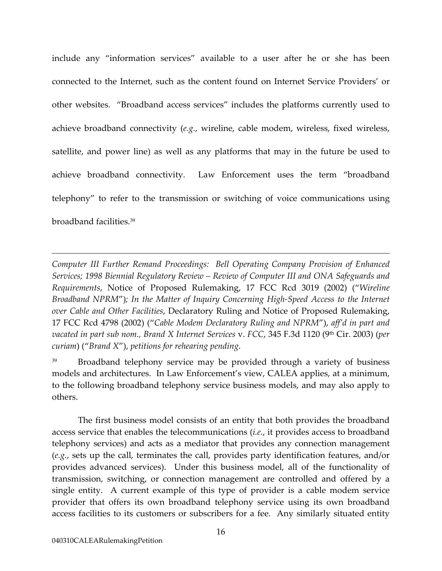<span id="page-20-0"></span>include any "information services" available to a user after he or she has been connected to the Internet, such as the content found on Internet Service Providers' or other websites. "Broadband access services" includes the platforms currently used to achieve broadband connectivity (*e.g.*, wireline, cable modem, wireless, fixed wireless, satellite, and power line) as well as any platforms that may in the future be used to achieve broadband connectivity. Law Enforcement uses the term "broadband telephony" to refer to the transmission or switching of voice communications using broadband facilities[.39](#page-20-0) 

*Computer III Further Remand Proceedings: Bell Operating Company Provision of Enhanced Services; 1998 Biennial Regulatory Review – Review of Computer III and ONA Safeguards and Requirements*, Notice of Proposed Rulemaking, 17 FCC Rcd 3019 (2002) ("*Wireline Broadband NPRM*")*; In the Matter of Inquiry Concerning High-Speed Access to the Internet over Cable and Other Facilities*, Declaratory Ruling and Notice of Proposed Rulemaking, 17 FCC Rcd 4798 (2002) ("*Cable Modem Declaratory Ruling and NPRM*"), *aff'd in part and vacated in part sub nom., Brand X Internet Services* v. *FCC*, 345 F.3d 1120 (9th Cir. 2003) (*per curiam*) ("*Brand X*"), *petitions for rehearing pending*.

Broadband telephony service may be provided through a variety of business models and architectures. In Law Enforcement's view, CALEA applies, at a minimum, to the following broadband telephony service business models, and may also apply to others.

The first business model consists of an entity that both provides the broadband access service that enables the telecommunications (*i.e.*, it provides access to broadband telephony services) and acts as a mediator that provides any connection management (*e.g.*, sets up the call, terminates the call, provides party identification features, and/or provides advanced services). Under this business model, all of the functionality of transmission, switching, or connection management are controlled and offered by a single entity. A current example of this type of provider is a cable modem service provider that offers its own broadband telephony service using its own broadband access facilities to its customers or subscribers for a fee. Any similarly situated entity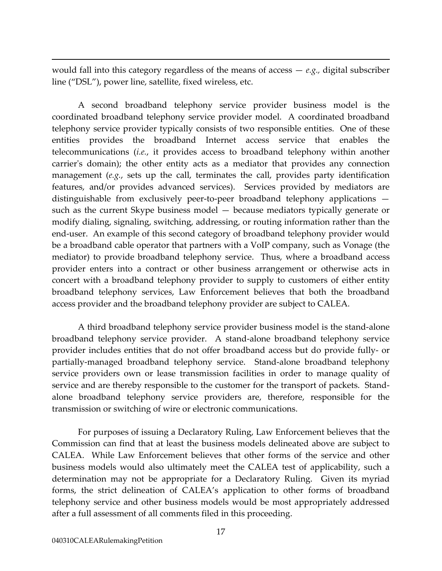would fall into this category regardless of the means of access — *e.g.,* digital subscriber line ("DSL"), power line, satellite, fixed wireless, etc.

A second broadband telephony service provider business model is the coordinated broadband telephony service provider model. A coordinated broadband telephony service provider typically consists of two responsible entities. One of these entities provides the broadband Internet access service that enables the telecommunications (*i.e.*, it provides access to broadband telephony within another carrier's domain); the other entity acts as a mediator that provides any connection management (*e.g.*, sets up the call, terminates the call, provides party identification features, and/or provides advanced services). Services provided by mediators are distinguishable from exclusively peer-to-peer broadband telephony applications such as the current Skype business model — because mediators typically generate or modify dialing, signaling, switching, addressing, or routing information rather than the end-user. An example of this second category of broadband telephony provider would be a broadband cable operator that partners with a VoIP company, such as Vonage (the mediator) to provide broadband telephony service. Thus, where a broadband access provider enters into a contract or other business arrangement or otherwise acts in concert with a broadband telephony provider to supply to customers of either entity broadband telephony services, Law Enforcement believes that both the broadband access provider and the broadband telephony provider are subject to CALEA.

A third broadband telephony service provider business model is the stand-alone broadband telephony service provider. A stand-alone broadband telephony service provider includes entities that do not offer broadband access but do provide fully- or partially-managed broadband telephony service. Stand-alone broadband telephony service providers own or lease transmission facilities in order to manage quality of service and are thereby responsible to the customer for the transport of packets. Standalone broadband telephony service providers are, therefore, responsible for the transmission or switching of wire or electronic communications.

For purposes of issuing a Declaratory Ruling, Law Enforcement believes that the Commission can find that at least the business models delineated above are subject to CALEA. While Law Enforcement believes that other forms of the service and other business models would also ultimately meet the CALEA test of applicability, such a determination may not be appropriate for a Declaratory Ruling. Given its myriad forms, the strict delineation of CALEA's application to other forms of broadband telephony service and other business models would be most appropriately addressed after a full assessment of all comments filed in this proceeding.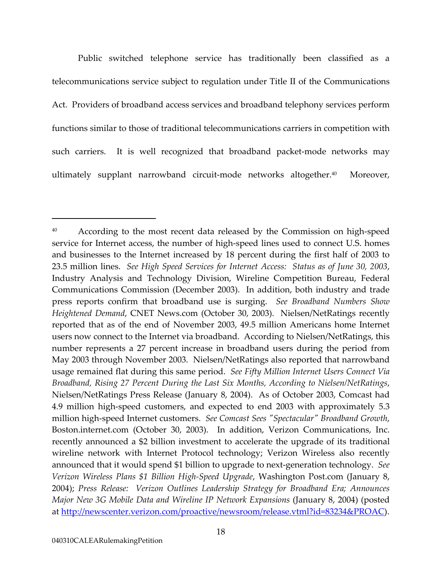<span id="page-22-0"></span>Public switched telephone service has traditionally been classified as a telecommunications service subject to regulation under Title II of the Communications Act. Providers of broadband access services and broadband telephony services perform functions similar to those of traditional telecommunications carriers in competition with such carriers. It is well recognized that broadband packet-mode networks may ultimately supplant narrowband circuit-mode networks altogether.<sup>40</sup> Moreover,

<sup>&</sup>lt;sup>40</sup> According to the most recent data released by the Commission on high-speed service for Internet access, the number of high-speed lines used to connect U.S. homes and businesses to the Internet increased by 18 percent during the first half of 2003 to 23.5 million lines. *See High Speed Services for Internet Access: Status as of June 30, 2003*, Industry Analysis and Technology Division, Wireline Competition Bureau, Federal Communications Commission (December 2003). In addition, both industry and trade press reports confirm that broadband use is surging. *See Broadband Numbers Show Heightened Demand*, CNET News.com (October 30, 2003). Nielsen/NetRatings recently reported that as of the end of November 2003, 49.5 million Americans home Internet users now connect to the Internet via broadband. According to Nielsen/NetRatings, this number represents a 27 percent increase in broadband users during the period from May 2003 through November 2003. Nielsen/NetRatings also reported that narrowband usage remained flat during this same period. *See Fifty Million Internet Users Connect Via Broadband, Rising 27 Percent During the Last Six Months, According to Nielsen/NetRatings*, Nielsen/NetRatings Press Release (January 8, 2004). As of October 2003, Comcast had 4.9 million high-speed customers, and expected to end 2003 with approximately 5.3 million high-speed Internet customers. *See Comcast Sees "Spectacular" Broadband Growth*, Boston.internet.com (October 30, 2003). In addition, Verizon Communications, Inc. recently announced a \$2 billion investment to accelerate the upgrade of its traditional wireline network with Internet Protocol technology; Verizon Wireless also recently announced that it would spend \$1 billion to upgrade to next-generation technology. *See Verizon Wireless Plans \$1 Billion High-Speed Upgrade*, Washington Post.com (January 8, 2004); *Press Release: Verizon Outlines Leadership Strategy for Broadband Era; Announces Major New 3G Mobile Data and Wireline IP Network Expansions* (January 8, 2004) (posted at [http://newscenter.verizon.com/proactive/newsroom/release.vtml?id=83234&PROAC\)](http://newscenter.verizon.com/proactive/newsroom/release.vtml?id=83234&PROAC).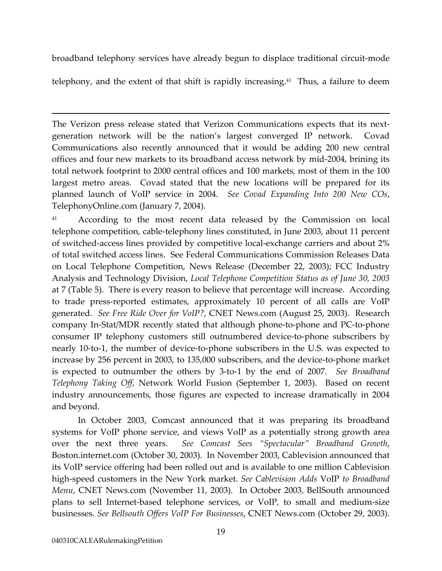<span id="page-23-0"></span>broadband telephony services have already begun to displace traditional circuit-mode

telephony, and the extent of that shift is rapidly increasing.<sup>41</sup> Thus, a failure to deem

The Verizon press release stated that Verizon Communications expects that its nextgeneration network will be the nation's largest converged IP network. Covad Communications also recently announced that it would be adding 200 new central offices and four new markets to its broadband access network by mid-2004, brining its total network footprint to 2000 central offices and 100 markets, most of them in the 100 largest metro areas. Covad stated that the new locations will be prepared for its planned launch of VoIP service in 2004. *See Covad Expanding Into 200 New COs*, TelephonyOnline.com (January 7, 2004).

<sup>41</sup> According to the most recent data released by the Commission on local telephone competition, cable-telephony lines constituted, in June 2003, about 11 percent of switched-access lines provided by competitive local-exchange carriers and about 2% of total switched access lines. See Federal Communications Commission Releases Data on Local Telephone Competition, News Release (December 22, 2003); FCC Industry Analysis and Technology Division, *Local Telephone Competition Status as of June 30, 2003* at 7 (Table 5). There is every reason to believe that percentage will increase. According to trade press-reported estimates, approximately 10 percent of all calls are VoIP generated. *See Free Ride Over for VoIP?*, CNET News.com (August 25, 2003). Research company In-Stat/MDR recently stated that although phone-to-phone and PC-to-phone consumer IP telephony customers still outnumbered device-to-phone subscribers by nearly 10-to-1, the number of device-to-phone subscribers in the U.S. was expected to increase by 256 percent in 2003, to 135,000 subscribers, and the device-to-phone market is expected to outnumber the others by 3-to-1 by the end of 2007. *See Broadband Telephony Taking Off*, Network World Fusion (September 1, 2003). Based on recent industry announcements, those figures are expected to increase dramatically in 2004 and beyond.

In October 2003, Comcast announced that it was preparing its broadband systems for VoIP phone service, and views VoIP as a potentially strong growth area over the next three years. *See Comcast Sees "Spectacular" Broadband Growth*, Boston.internet.com (October 30, 2003). In November 2003, Cablevision announced that its VoIP service offering had been rolled out and is available to one million Cablevision high-speed customers in the New York market. *See Cablevision Adds* VoIP *to Broadband Menu*, CNET News.com (November 11, 2003). In October 2003, BellSouth announced plans to sell Internet-based telephone services, or VoIP, to small and medium-size businesses. *See Bellsouth Offers VoIP For Businesses*, CNET News.com (October 29, 2003).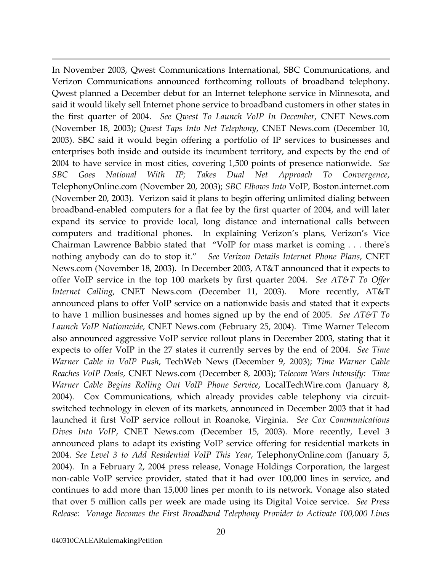In November 2003, Qwest Communications International, SBC Communications, and Verizon Communications announced forthcoming rollouts of broadband telephony. Qwest planned a December debut for an Internet telephone service in Minnesota, and said it would likely sell Internet phone service to broadband customers in other states in the first quarter of 2004. *See Qwest To Launch VoIP In December*, CNET News.com (November 18, 2003); *Qwest Taps Into Net Telephony*, CNET News.com (December 10, 2003). SBC said it would begin offering a portfolio of IP services to businesses and enterprises both inside and outside its incumbent territory, and expects by the end of 2004 to have service in most cities, covering 1,500 points of presence nationwide. *See SBC Goes National With IP; Takes Dual Net Approach To Convergence*, TelephonyOnline.com (November 20, 2003); *SBC Elbows Into* VoIP, Boston.internet.com (November 20, 2003). Verizon said it plans to begin offering unlimited dialing between broadband-enabled computers for a flat fee by the first quarter of 2004, and will later expand its service to provide local, long distance and international calls between computers and traditional phones. In explaining Verizon's plans, Verizon's Vice Chairman Lawrence Babbio stated that "VoIP for mass market is coming . . . there's nothing anybody can do to stop it." *See Verizon Details Internet Phone Plans*, CNET News.com (November 18, 2003). In December 2003, AT&T announced that it expects to offer VoIP service in the top 100 markets by first quarter 2004. *See AT&T To Offer Internet Calling*, CNET News.com (December 11, 2003). More recently, AT&T announced plans to offer VoIP service on a nationwide basis and stated that it expects to have 1 million businesses and homes signed up by the end of 2005. *See AT&T To Launch VoIP Nationwide*, CNET News.com (February 25, 2004). Time Warner Telecom also announced aggressive VoIP service rollout plans in December 2003, stating that it expects to offer VoIP in the 27 states it currently serves by the end of 2004. *See Time Warner Cable in VoIP Push*, TechWeb News (December 9, 2003); *Time Warner Cable Reaches VoIP Deals*, CNET News.com (December 8, 2003); *Telecom Wars Intensify: Time Warner Cable Begins Rolling Out VoIP Phone Service*, LocalTechWire.com (January 8, 2004). Cox Communications, which already provides cable telephony via circuitswitched technology in eleven of its markets, announced in December 2003 that it had launched it first VoIP service rollout in Roanoke, Virginia. *See Cox Communications Dives Into VoIP*, CNET News.com (December 15, 2003). More recently, Level 3 announced plans to adapt its existing VoIP service offering for residential markets in 2004. *See Level 3 to Add Residential VoIP This Year*, TelephonyOnline.com (January 5, 2004). In a February 2, 2004 press release, Vonage Holdings Corporation, the largest non-cable VoIP service provider, stated that it had over 100,000 lines in service, and continues to add more than 15,000 lines per month to its network. Vonage also stated that over 5 million calls per week are made using its Digital Voice service. *See Press Release: Vonage Becomes the First Broadband Telephony Provider to Activate 100,000 Lines*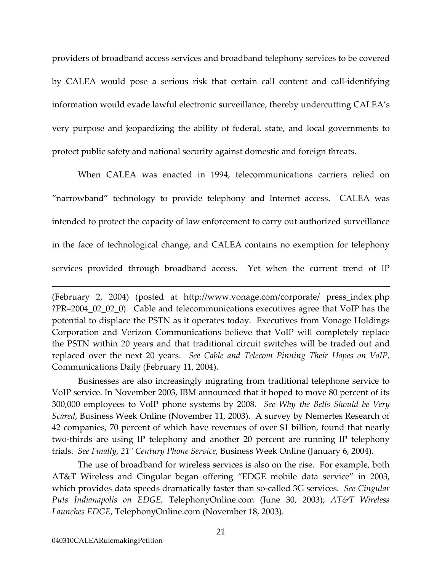providers of broadband access services and broadband telephony services to be covered by CALEA would pose a serious risk that certain call content and call-identifying information would evade lawful electronic surveillance, thereby undercutting CALEA's very purpose and jeopardizing the ability of federal, state, and local governments to protect public safety and national security against domestic and foreign threats.

When CALEA was enacted in 1994, telecommunications carriers relied on "narrowband" technology to provide telephony and Internet access. CALEA was intended to protect the capacity of law enforcement to carry out authorized surveillance in the face of technological change, and CALEA contains no exemption for telephony services provided through broadband access. Yet when the current trend of IP

Businesses are also increasingly migrating from traditional telephone service to VoIP service. In November 2003, IBM announced that it hoped to move 80 percent of its 300,000 employees to VoIP phone systems by 2008. *See Why the Bells Should be Very Scared*, Business Week Online (November 11, 2003). A survey by Nemertes Research of 42 companies, 70 percent of which have revenues of over \$1 billion, found that nearly two-thirds are using IP telephony and another 20 percent are running IP telephony trials. *See Finally, 21st Century Phone Service*, Business Week Online (January 6, 2004).

The use of broadband for wireless services is also on the rise. For example, both AT&T Wireless and Cingular began offering "EDGE mobile data service" in 2003, which provides data speeds dramatically faster than so-called 3G services. *See Cingular Puts Indianapolis on EDGE,* TelephonyOnline.com (June 30, 2003); *AT&T Wireless Launches EDGE*, TelephonyOnline.com (November 18, 2003).

<sup>(</sup>February 2, 2004) (posted at http://www.vonage.com/corporate/ press\_index.php ?PR=2004\_02\_02\_0). Cable and telecommunications executives agree that VoIP has the potential to displace the PSTN as it operates today. Executives from Vonage Holdings Corporation and Verizon Communications believe that VoIP will completely replace the PSTN within 20 years and that traditional circuit switches will be traded out and replaced over the next 20 years. *See Cable and Telecom Pinning Their Hopes on VoIP,* Communications Daily (February 11, 2004).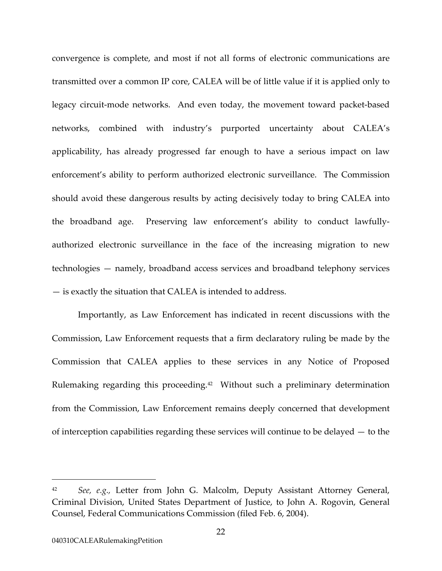convergence is complete, and most if not all forms of electronic communications are transmitted over a common IP core, CALEA will be of little value if it is applied only to legacy circuit-mode networks. And even today, the movement toward packet-based networks, combined with industry's purported uncertainty about CALEA's applicability, has already progressed far enough to have a serious impact on law enforcement's ability to perform authorized electronic surveillance. The Commission should avoid these dangerous results by acting decisively today to bring CALEA into the broadband age. Preserving law enforcement's ability to conduct lawfullyauthorized electronic surveillance in the face of the increasing migration to new technologies — namely, broadband access services and broadband telephony services — is exactly the situation that CALEA is intended to address.

Importantly, as Law Enforcement has indicated in recent discussions with the Commission, Law Enforcement requests that a firm declaratory ruling be made by the Commission that CALEA applies to these services in any Notice of Proposed Rulemaking regarding this proceeding.<sup>42</sup> Without such a preliminary determination from the Commission, Law Enforcement remains deeply concerned that development of interception capabilities regarding these services will continue to be delayed — to the

<span id="page-26-0"></span><sup>42</sup> *See, e.g.,* Letter from John G. Malcolm, Deputy Assistant Attorney General, Criminal Division, United States Department of Justice, to John A. Rogovin, General Counsel, Federal Communications Commission (filed Feb. 6, 2004).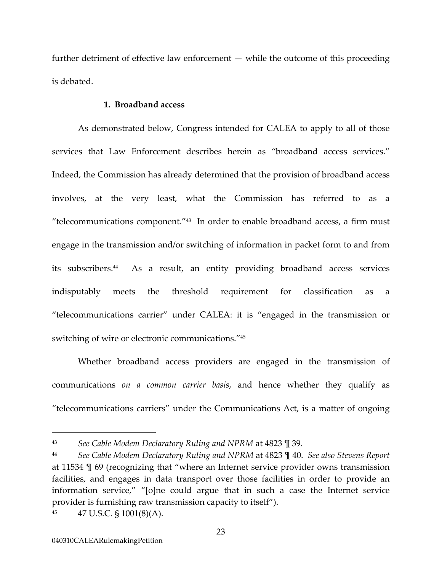further detriment of effective law enforcement — while the outcome of this proceeding is debated.

### **1. Broadband access**

As demonstrated below, Congress intended for CALEA to apply to all of those services that Law Enforcement describes herein as "broadband access services." Indeed, the Commission has already determined that the provision of broadband access involves, at the very least, what the Commission has referred to as a "telecommunications component."[43](#page-27-0) In order to enable broadband access, a firm must engage in the transmission and/or switching of information in packet form to and from its subscribers.[44](#page-27-1) As a result, an entity providing broadband access services indisputably meets the threshold requirement for classification as a "telecommunications carrier" under CALEA: it is "engaged in the transmission or switching of wire or electronic communications.["45](#page-27-2) 

Whether broadband access providers are engaged in the transmission of communications *on a common carrier basis*, and hence whether they qualify as "telecommunications carriers" under the Communications Act, is a matter of ongoing

<span id="page-27-0"></span><sup>43</sup> *See Cable Modem Declaratory Ruling and NPRM* at 4823 ¶ 39.

<span id="page-27-1"></span><sup>44</sup> *See Cable Modem Declaratory Ruling and NPRM* at 4823 ¶ 40. *See also Stevens Report* at 11534 ¶ 69 (recognizing that "where an Internet service provider owns transmission facilities, and engages in data transport over those facilities in order to provide an information service," "[o]ne could argue that in such a case the Internet service provider is furnishing raw transmission capacity to itself").

<span id="page-27-2"></span><sup>45 47</sup> U.S.C.  $\S$  1001(8)(A).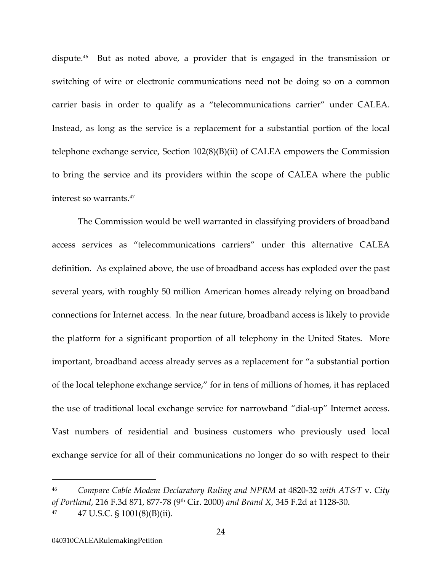dispute[.46](#page-28-0) But as noted above, a provider that is engaged in the transmission or switching of wire or electronic communications need not be doing so on a common carrier basis in order to qualify as a "telecommunications carrier" under CALEA. Instead, as long as the service is a replacement for a substantial portion of the local telephone exchange service, Section 102(8)(B)(ii) of CALEA empowers the Commission to bring the service and its providers within the scope of CALEA where the public interest so warrants.[47](#page-28-1)

The Commission would be well warranted in classifying providers of broadband access services as "telecommunications carriers" under this alternative CALEA definition. As explained above, the use of broadband access has exploded over the past several years, with roughly 50 million American homes already relying on broadband connections for Internet access. In the near future, broadband access is likely to provide the platform for a significant proportion of all telephony in the United States. More important, broadband access already serves as a replacement for "a substantial portion of the local telephone exchange service," for in tens of millions of homes, it has replaced the use of traditional local exchange service for narrowband "dial-up" Internet access. Vast numbers of residential and business customers who previously used local exchange service for all of their communications no longer do so with respect to their

<span id="page-28-0"></span><sup>46</sup> *Compare Cable Modem Declaratory Ruling and NPRM* at 4820-32 *with AT&T* v. *City of Portland*, 216 F.3d 871, 877-78 (9th Cir. 2000) *and Brand X*, 345 F.2d at 1128-30.

<span id="page-28-1"></span><sup>47 47</sup> U.S.C. § 1001(8)(B)(ii).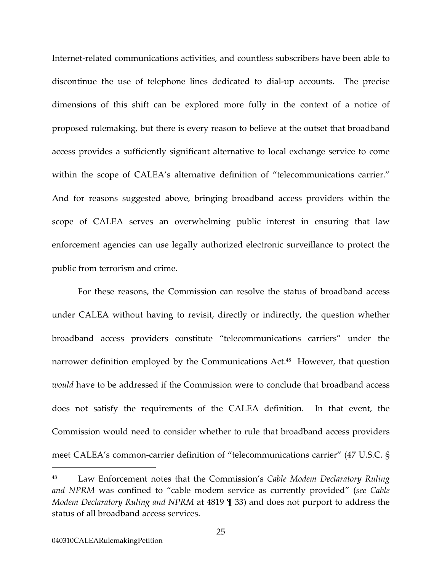Internet-related communications activities, and countless subscribers have been able to discontinue the use of telephone lines dedicated to dial-up accounts. The precise dimensions of this shift can be explored more fully in the context of a notice of proposed rulemaking, but there is every reason to believe at the outset that broadband access provides a sufficiently significant alternative to local exchange service to come within the scope of CALEA's alternative definition of "telecommunications carrier." And for reasons suggested above, bringing broadband access providers within the scope of CALEA serves an overwhelming public interest in ensuring that law enforcement agencies can use legally authorized electronic surveillance to protect the public from terrorism and crime.

For these reasons, the Commission can resolve the status of broadband access under CALEA without having to revisit, directly or indirectly, the question whether broadband access providers constitute "telecommunications carriers" under the narrower definition employed by the Communications Act.<sup>48</sup> However, that question *would* have to be addressed if the Commission were to conclude that broadband access does not satisfy the requirements of the CALEA definition. In that event, the Commission would need to consider whether to rule that broadband access providers meet CALEA's common-carrier definition of "telecommunications carrier" (47 U.S.C. §

<span id="page-29-0"></span><sup>48</sup> Law Enforcement notes that the Commission's *Cable Modem Declaratory Ruling and NPRM* was confined to "cable modem service as currently provided" (*see Cable Modem Declaratory Ruling and NPRM* at 4819 ¶ 33) and does not purport to address the status of all broadband access services.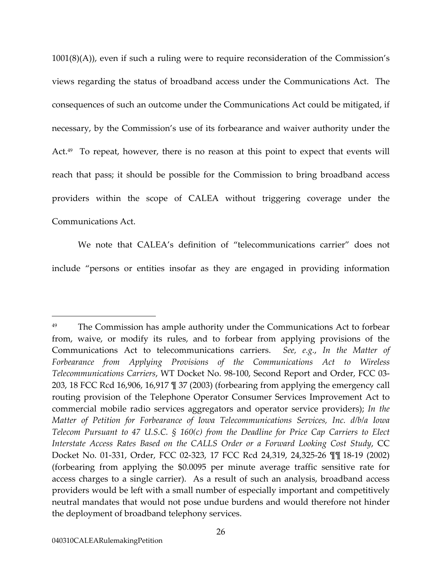1001(8)(A)), even if such a ruling were to require reconsideration of the Commission's views regarding the status of broadband access under the Communications Act. The consequences of such an outcome under the Communications Act could be mitigated, if necessary, by the Commission's use of its forbearance and waiver authority under the Act.<sup>49</sup> To repeat, however, there is no reason at this point to expect that events will reach that pass; it should be possible for the Commission to bring broadband access providers within the scope of CALEA without triggering coverage under the Communications Act.

We note that CALEA's definition of "telecommunications carrier" does not include "persons or entities insofar as they are engaged in providing information

<span id="page-30-0"></span><sup>&</sup>lt;sup>49</sup> The Commission has ample authority under the Communications Act to forbear from, waive, or modify its rules, and to forbear from applying provisions of the Communications Act to telecommunications carriers. *See, e.g.*, *In the Matter of Forbearance from Applying Provisions of the Communications Act to Wireless Telecommunications Carriers*, WT Docket No. 98-100, Second Report and Order, FCC 03- 203, 18 FCC Rcd 16,906, 16,917 ¶ 37 (2003) (forbearing from applying the emergency call routing provision of the Telephone Operator Consumer Services Improvement Act to commercial mobile radio services aggregators and operator service providers); *In the Matter of Petition for Forbearance of Iowa Telecommunications Services, Inc. d/b/a Iowa Telecom Pursuant to 47 U.S.C. § 160(c) from the Deadline for Price Cap Carriers to Elect Interstate Access Rates Based on the CALLS Order or a Forward Looking Cost Study*, CC Docket No. 01-331, Order, FCC 02-323, 17 FCC Rcd 24,319, 24,325-26 ¶¶ 18-19 (2002) (forbearing from applying the \$0.0095 per minute average traffic sensitive rate for access charges to a single carrier). As a result of such an analysis, broadband access providers would be left with a small number of especially important and competitively neutral mandates that would not pose undue burdens and would therefore not hinder the deployment of broadband telephony services.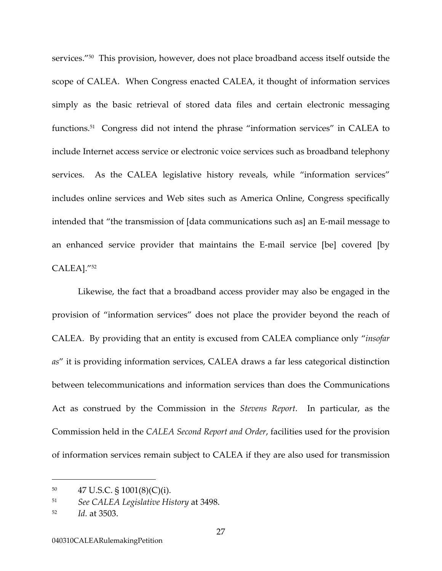services.["50](#page-31-0) This provision, however, does not place broadband access itself outside the scope of CALEA. When Congress enacted CALEA, it thought of information services simply as the basic retrieval of stored data files and certain electronic messaging functions.[51](#page-31-1) Congress did not intend the phrase "information services" in CALEA to include Internet access service or electronic voice services such as broadband telephony services. As the CALEA legislative history reveals, while "information services" includes online services and Web sites such as America Online, Congress specifically intended that "the transmission of [data communications such as] an E-mail message to an enhanced service provider that maintains the E-mail service [be] covered [by CALEA]."[52](#page-31-2) 

Likewise, the fact that a broadband access provider may also be engaged in the provision of "information services" does not place the provider beyond the reach of CALEA. By providing that an entity is excused from CALEA compliance only "*insofar as*" it is providing information services, CALEA draws a far less categorical distinction between telecommunications and information services than does the Communications Act as construed by the Commission in the *Stevens Report*. In particular, as the Commission held in the *CALEA Second Report and Order*, facilities used for the provision of information services remain subject to CALEA if they are also used for transmission

<span id="page-31-0"></span> $^{50}$  47 U.S.C. § 1001(8)(C)(i).

<span id="page-31-1"></span><sup>51</sup> *See CALEA Legislative History* at 3498.

<span id="page-31-2"></span><sup>52</sup> *Id.* at 3503.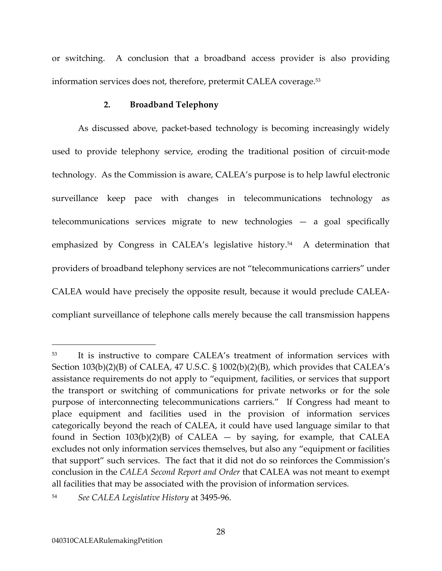or switching. A conclusion that a broadband access provider is also providing information services does not, therefore, pretermit CALEA coverage.<sup>53</sup>

### **2. Broadband Telephony**

As discussed above, packet-based technology is becoming increasingly widely used to provide telephony service, eroding the traditional position of circuit-mode technology. As the Commission is aware, CALEA's purpose is to help lawful electronic surveillance keep pace with changes in telecommunications technology as telecommunications services migrate to new technologies — a goal specifically emphasized by Congress in CALEA's legislative history.<sup>54</sup> A determination that providers of broadband telephony services are not "telecommunications carriers" under CALEA would have precisely the opposite result, because it would preclude CALEAcompliant surveillance of telephone calls merely because the call transmission happens

<span id="page-32-0"></span><sup>53</sup> It is instructive to compare CALEA's treatment of information services with Section 103(b)(2)(B) of CALEA, 47 U.S.C. § 1002(b)(2)(B), which provides that CALEA's assistance requirements do not apply to "equipment, facilities, or services that support the transport or switching of communications for private networks or for the sole purpose of interconnecting telecommunications carriers." If Congress had meant to place equipment and facilities used in the provision of information services categorically beyond the reach of CALEA, it could have used language similar to that found in Section  $103(b)(2)(B)$  of CALEA — by saying, for example, that CALEA excludes not only information services themselves, but also any "equipment or facilities that support" such services. The fact that it did not do so reinforces the Commission's conclusion in the *CALEA Second Report and Order* that CALEA was not meant to exempt all facilities that may be associated with the provision of information services.

<span id="page-32-1"></span><sup>54</sup> *See CALEA Legislative History* at 3495-96.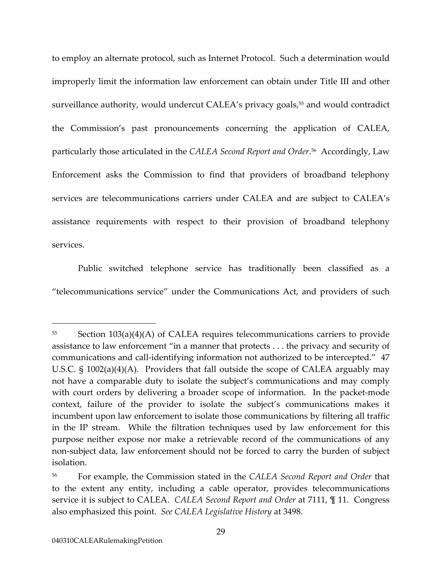to employ an alternate protocol, such as Internet Protocol. Such a determination would improperly limit the information law enforcement can obtain under Title III and other surveillance authority, would undercut CALEA's privacy goals,<sup>55</sup> and would contradict the Commission's past pronouncements concerning the application of CALEA, particularly those articulated in the *CALEA Second Report and Order*. [56](#page-33-1) Accordingly, Law Enforcement asks the Commission to find that providers of broadband telephony services are telecommunications carriers under CALEA and are subject to CALEA's assistance requirements with respect to their provision of broadband telephony services.

Public switched telephone service has traditionally been classified as a "telecommunications service" under the Communications Act, and providers of such

<span id="page-33-0"></span><sup>55</sup> Section 103(a)(4)(A) of CALEA requires telecommunications carriers to provide assistance to law enforcement "in a manner that protects . . . the privacy and security of communications and call-identifying information not authorized to be intercepted." 47 U.S.C. § 1002(a)(4)(A). Providers that fall outside the scope of CALEA arguably may not have a comparable duty to isolate the subject's communications and may comply with court orders by delivering a broader scope of information. In the packet-mode context, failure of the provider to isolate the subject's communications makes it incumbent upon law enforcement to isolate those communications by filtering all traffic in the IP stream. While the filtration techniques used by law enforcement for this purpose neither expose nor make a retrievable record of the communications of any non-subject data, law enforcement should not be forced to carry the burden of subject isolation.

<span id="page-33-1"></span><sup>56</sup> For example, the Commission stated in the *CALEA Second Report and Order* that to the extent any entity, including a cable operator, provides telecommunications service it is subject to CALEA. *CALEA Second Report and Order* at 7111, ¶ 11. Congress also emphasized this point. *See CALEA Legislative History* at 3498.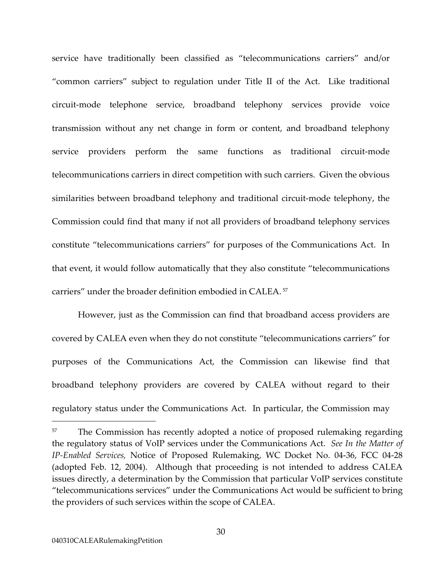service have traditionally been classified as "telecommunications carriers" and/or "common carriers" subject to regulation under Title II of the Act. Like traditional circuit-mode telephone service, broadband telephony services provide voice transmission without any net change in form or content, and broadband telephony service providers perform the same functions as traditional circuit-mode telecommunications carriers in direct competition with such carriers. Given the obvious similarities between broadband telephony and traditional circuit-mode telephony, the Commission could find that many if not all providers of broadband telephony services constitute "telecommunications carriers" for purposes of the Communications Act. In that event, it would follow automatically that they also constitute "telecommunications carriers" under the broader definition embodied in CALEA. [57](#page-34-0)

However, just as the Commission can find that broadband access providers are covered by CALEA even when they do not constitute "telecommunications carriers" for purposes of the Communications Act, the Commission can likewise find that broadband telephony providers are covered by CALEA without regard to their regulatory status under the Communications Act. In particular, the Commission may

<span id="page-34-0"></span><sup>&</sup>lt;sup>57</sup> The Commission has recently adopted a notice of proposed rulemaking regarding the regulatory status of VoIP services under the Communications Act. *See In the Matter of IP-Enabled Services,* Notice of Proposed Rulemaking, WC Docket No. 04-36, FCC 04-28 (adopted Feb. 12, 2004). Although that proceeding is not intended to address CALEA issues directly, a determination by the Commission that particular VoIP services constitute "telecommunications services" under the Communications Act would be sufficient to bring the providers of such services within the scope of CALEA.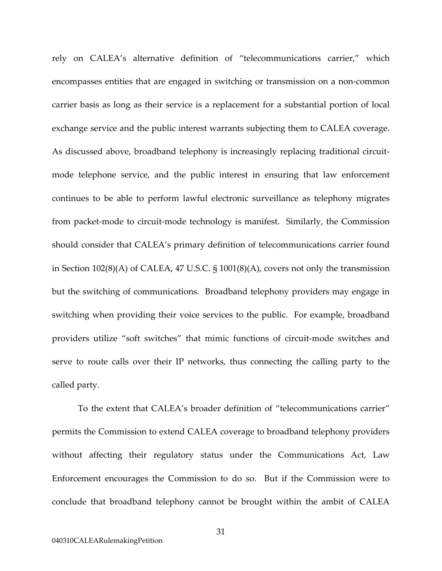rely on CALEA's alternative definition of "telecommunications carrier," which encompasses entities that are engaged in switching or transmission on a non-common carrier basis as long as their service is a replacement for a substantial portion of local exchange service and the public interest warrants subjecting them to CALEA coverage. As discussed above, broadband telephony is increasingly replacing traditional circuitmode telephone service, and the public interest in ensuring that law enforcement continues to be able to perform lawful electronic surveillance as telephony migrates from packet-mode to circuit-mode technology is manifest. Similarly, the Commission should consider that CALEA's primary definition of telecommunications carrier found in Section 102(8)(A) of CALEA, 47 U.S.C. § 1001(8)(A), covers not only the transmission but the switching of communications. Broadband telephony providers may engage in switching when providing their voice services to the public. For example, broadband providers utilize "soft switches" that mimic functions of circuit-mode switches and serve to route calls over their IP networks, thus connecting the calling party to the called party.

To the extent that CALEA's broader definition of "telecommunications carrier" permits the Commission to extend CALEA coverage to broadband telephony providers without affecting their regulatory status under the Communications Act, Law Enforcement encourages the Commission to do so. But if the Commission were to conclude that broadband telephony cannot be brought within the ambit of CALEA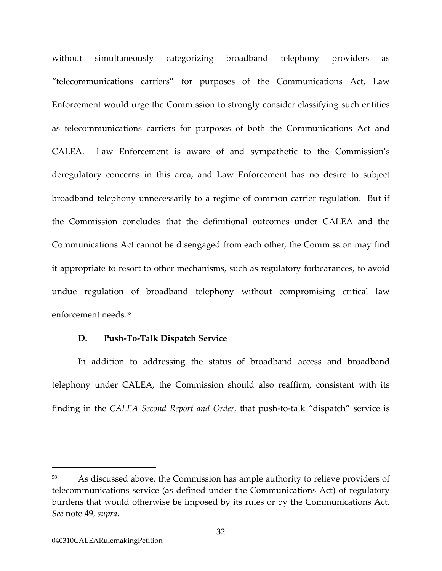without simultaneously categorizing broadband telephony providers as "telecommunications carriers" for purposes of the Communications Act, Law Enforcement would urge the Commission to strongly consider classifying such entities as telecommunications carriers for purposes of both the Communications Act and CALEA. Law Enforcement is aware of and sympathetic to the Commission's deregulatory concerns in this area, and Law Enforcement has no desire to subject broadband telephony unnecessarily to a regime of common carrier regulation. But if the Commission concludes that the definitional outcomes under CALEA and the Communications Act cannot be disengaged from each other, the Commission may find it appropriate to resort to other mechanisms, such as regulatory forbearances, to avoid undue regulation of broadband telephony without compromising critical law enforcement needs.[58](#page-36-0)

#### **D. Push-To-Talk Dispatch Service**

In addition to addressing the status of broadband access and broadband telephony under CALEA, the Commission should also reaffirm, consistent with its finding in the *CALEA Second Report and Order*, that push-to-talk "dispatch" service is

<span id="page-36-0"></span><sup>&</sup>lt;sup>58</sup> As discussed above, the Commission has ample authority to relieve providers of telecommunications service (as defined under the Communications Act) of regulatory burdens that would otherwise be imposed by its rules or by the Communications Act. *See* note 49, *supra*.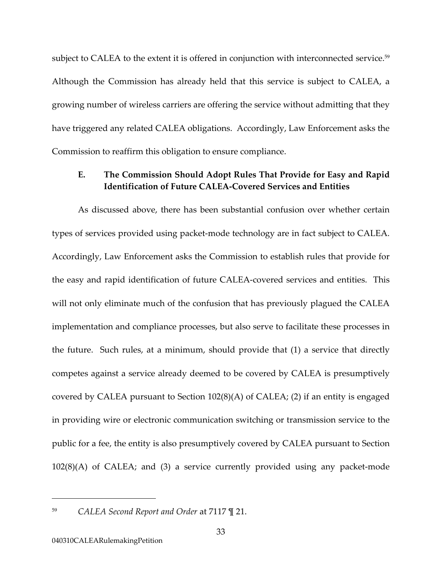subject to CALEA to the extent it is offered in conjunction with interconnected service.<sup>59</sup> Although the Commission has already held that this service is subject to CALEA, a growing number of wireless carriers are offering the service without admitting that they have triggered any related CALEA obligations. Accordingly, Law Enforcement asks the Commission to reaffirm this obligation to ensure compliance.

#### **E. The Commission Should Adopt Rules That Provide for Easy and Rapid Identification of Future CALEA-Covered Services and Entities**

As discussed above, there has been substantial confusion over whether certain types of services provided using packet-mode technology are in fact subject to CALEA. Accordingly, Law Enforcement asks the Commission to establish rules that provide for the easy and rapid identification of future CALEA-covered services and entities. This will not only eliminate much of the confusion that has previously plagued the CALEA implementation and compliance processes, but also serve to facilitate these processes in the future. Such rules, at a minimum, should provide that (1) a service that directly competes against a service already deemed to be covered by CALEA is presumptively covered by CALEA pursuant to Section 102(8)(A) of CALEA; (2) if an entity is engaged in providing wire or electronic communication switching or transmission service to the public for a fee, the entity is also presumptively covered by CALEA pursuant to Section 102(8)(A) of CALEA; and (3) a service currently provided using any packet-mode

<span id="page-37-0"></span><sup>59</sup> *CALEA Second Report and Order* at 7117 ¶ 21.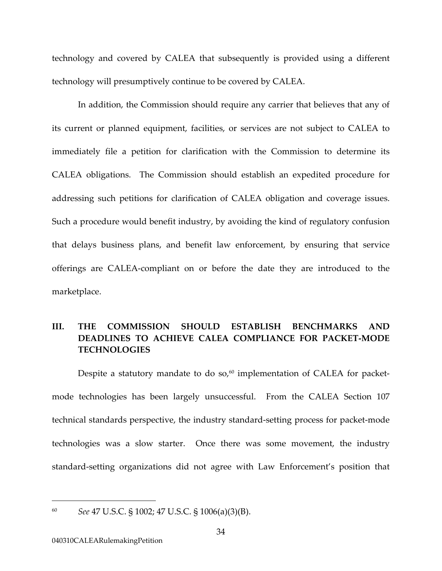technology and covered by CALEA that subsequently is provided using a different technology will presumptively continue to be covered by CALEA.

In addition, the Commission should require any carrier that believes that any of its current or planned equipment, facilities, or services are not subject to CALEA to immediately file a petition for clarification with the Commission to determine its CALEA obligations. The Commission should establish an expedited procedure for addressing such petitions for clarification of CALEA obligation and coverage issues. Such a procedure would benefit industry, by avoiding the kind of regulatory confusion that delays business plans, and benefit law enforcement, by ensuring that service offerings are CALEA-compliant on or before the date they are introduced to the marketplace.

# **III. THE COMMISSION SHOULD ESTABLISH BENCHMARKS AND DEADLINES TO ACHIEVE CALEA COMPLIANCE FOR PACKET-MODE TECHNOLOGIES**

Despite a statutory mandate to do  $so<sub>0</sub>$ <sup>60</sup> implementation of CALEA for packetmode technologies has been largely unsuccessful. From the CALEA Section 107 technical standards perspective, the industry standard-setting process for packet-mode technologies was a slow starter. Once there was some movement, the industry standard-setting organizations did not agree with Law Enforcement's position that

<span id="page-38-0"></span><sup>60</sup> *See* 47 U.S.C. § 1002; 47 U.S.C. § 1006(a)(3)(B).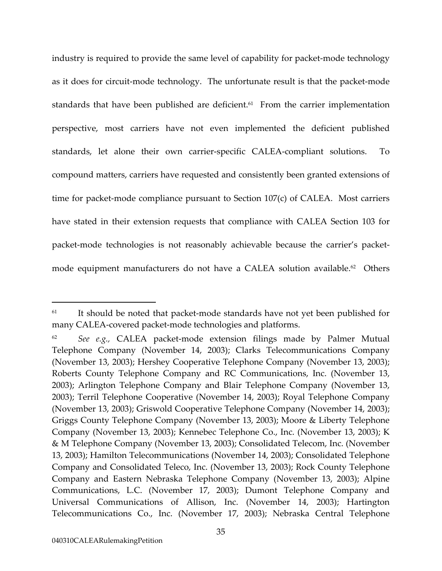<span id="page-39-1"></span>industry is required to provide the same level of capability for packet-mode technology as it does for circuit-mode technology. The unfortunate result is that the packet-mode standards that have been published are deficient.<sup>61</sup> From the carrier implementation perspective, most carriers have not even implemented the deficient published standards, let alone their own carrier-specific CALEA-compliant solutions. To compound matters, carriers have requested and consistently been granted extensions of time for packet-mode compliance pursuant to Section 107(c) of CALEA. Most carriers have stated in their extension requests that compliance with CALEA Section 103 for packet-mode technologies is not reasonably achievable because the carrier's packetmode equipment manufacturers do not have a CALEA solution available. [62](#page-39-1) Others

<span id="page-39-0"></span><sup>&</sup>lt;sup>61</sup> It should be noted that packet-mode standards have not yet been published for many CALEA-covered packet-mode technologies and platforms.

<sup>62</sup> *See e.g.,* CALEA packet-mode extension filings made by Palmer Mutual Telephone Company (November 14, 2003); Clarks Telecommunications Company (November 13, 2003); Hershey Cooperative Telephone Company (November 13, 2003); Roberts County Telephone Company and RC Communications, Inc. (November 13, 2003); Arlington Telephone Company and Blair Telephone Company (November 13, 2003); Terril Telephone Cooperative (November 14, 2003); Royal Telephone Company (November 13, 2003); Griswold Cooperative Telephone Company (November 14, 2003); Griggs County Telephone Company (November 13, 2003); Moore & Liberty Telephone Company (November 13, 2003); Kennebec Telephone Co., Inc. (November 13, 2003); K & M Telephone Company (November 13, 2003); Consolidated Telecom, Inc. (November 13, 2003); Hamilton Telecommunications (November 14, 2003); Consolidated Telephone Company and Consolidated Teleco, Inc. (November 13, 2003); Rock County Telephone Company and Eastern Nebraska Telephone Company (November 13, 2003); Alpine Communications, L.C. (November 17, 2003); Dumont Telephone Company and Universal Communications of Allison, Inc. (November 14, 2003); Hartington Telecommunications Co., Inc. (November 17, 2003); Nebraska Central Telephone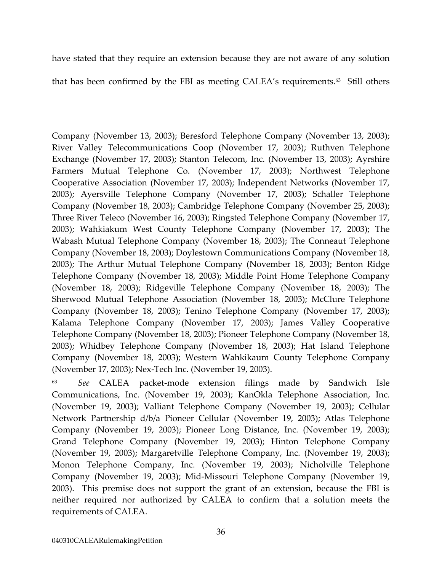have stated that they require an extension because they are not aware of any solution

that has been confirmed by the FBI as meeting CALEA's requirements.<sup>63</sup> Still others

Company (November 13, 2003); Beresford Telephone Company (November 13, 2003); River Valley Telecommunications Coop (November 17, 2003); Ruthven Telephone Exchange (November 17, 2003); Stanton Telecom, Inc. (November 13, 2003); Ayrshire Farmers Mutual Telephone Co. (November 17, 2003); Northwest Telephone Cooperative Association (November 17, 2003); Independent Networks (November 17, 2003); Ayersville Telephone Company (November 17, 2003); Schaller Telephone Company (November 18, 2003); Cambridge Telephone Company (November 25, 2003); Three River Teleco (November 16, 2003); Ringsted Telephone Company (November 17, 2003); Wahkiakum West County Telephone Company (November 17, 2003); The Wabash Mutual Telephone Company (November 18, 2003); The Conneaut Telephone Company (November 18, 2003); Doylestown Communications Company (November 18, 2003); The Arthur Mutual Telephone Company (November 18, 2003); Benton Ridge Telephone Company (November 18, 2003); Middle Point Home Telephone Company (November 18, 2003); Ridgeville Telephone Company (November 18, 2003); The Sherwood Mutual Telephone Association (November 18, 2003); McClure Telephone Company (November 18, 2003); Tenino Telephone Company (November 17, 2003); Kalama Telephone Company (November 17, 2003); James Valley Cooperative Telephone Company (November 18, 2003); Pioneer Telephone Company (November 18, 2003); Whidbey Telephone Company (November 18, 2003); Hat Island Telephone Company (November 18, 2003); Western Wahkikaum County Telephone Company (November 17, 2003); Nex-Tech Inc. (November 19, 2003).

<span id="page-40-0"></span>63 *See* CALEA packet-mode extension filings made by Sandwich Isle Communications, Inc. (November 19, 2003); KanOkla Telephone Association, Inc. (November 19, 2003); Valliant Telephone Company (November 19, 2003); Cellular Network Partnership d/b/a Pioneer Cellular (November 19, 2003); Atlas Telephone Company (November 19, 2003); Pioneer Long Distance, Inc. (November 19, 2003); Grand Telephone Company (November 19, 2003); Hinton Telephone Company (November 19, 2003); Margaretville Telephone Company, Inc. (November 19, 2003); Monon Telephone Company, Inc. (November 19, 2003); Nicholville Telephone Company (November 19, 2003); Mid-Missouri Telephone Company (November 19, 2003). This premise does not support the grant of an extension, because the FBI is neither required nor authorized by CALEA to confirm that a solution meets the requirements of CALEA.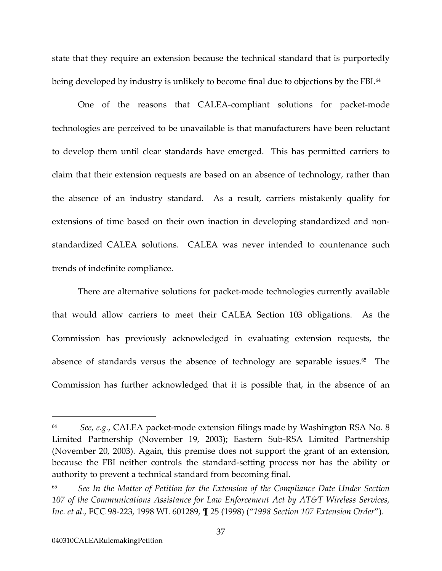state that they require an extension because the technical standard that is purportedly being developed by industry is unlikely to become final due to objections by the FBI.<sup>64</sup>

One of the reasons that CALEA-compliant solutions for packet-mode technologies are perceived to be unavailable is that manufacturers have been reluctant to develop them until clear standards have emerged. This has permitted carriers to claim that their extension requests are based on an absence of technology, rather than the absence of an industry standard. As a result, carriers mistakenly qualify for extensions of time based on their own inaction in developing standardized and nonstandardized CALEA solutions. CALEA was never intended to countenance such trends of indefinite compliance.

There are alternative solutions for packet-mode technologies currently available that would allow carriers to meet their CALEA Section 103 obligations. As the Commission has previously acknowledged in evaluating extension requests, the absence of standards versus the absence of technology are separable issues.<sup>65</sup> The Commission has further acknowledged that it is possible that, in the absence of an

<span id="page-41-0"></span><sup>64</sup> *See, e.g.*, CALEA packet-mode extension filings made by Washington RSA No. 8 Limited Partnership (November 19, 2003); Eastern Sub-RSA Limited Partnership (November 20, 2003). Again, this premise does not support the grant of an extension, because the FBI neither controls the standard-setting process nor has the ability or authority to prevent a technical standard from becoming final.

<span id="page-41-1"></span><sup>65</sup> *See In the Matter of Petition for the Extension of the Compliance Date Under Section 107 of the Communications Assistance for Law Enforcement Act by AT&T Wireless Services, Inc. et al.*, FCC 98-223, 1998 WL 601289, ¶ 25 (1998) ("*1998 Section 107 Extension Order*").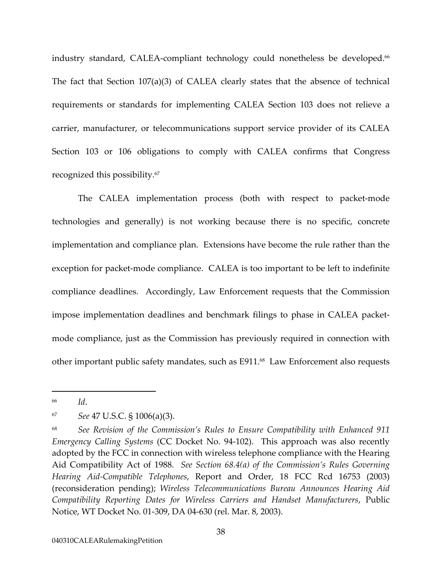industry standard, CALEA-compliant technology could nonetheless be developed.<sup>66</sup> The fact that Section 107(a)(3) of CALEA clearly states that the absence of technical requirements or standards for implementing CALEA Section 103 does not relieve a carrier, manufacturer, or telecommunications support service provider of its CALEA Section 103 or 106 obligations to comply with CALEA confirms that Congress recognized this possibility.[67](#page-42-1) 

The CALEA implementation process (both with respect to packet-mode technologies and generally) is not working because there is no specific, concrete implementation and compliance plan. Extensions have become the rule rather than the exception for packet-mode compliance. CALEA is too important to be left to indefinite compliance deadlines. Accordingly, Law Enforcement requests that the Commission impose implementation deadlines and benchmark filings to phase in CALEA packetmode compliance, just as the Commission has previously required in connection with other important public safety mandates, such as E911.<sup>68</sup> Law Enforcement also requests

<span id="page-42-0"></span><sup>66</sup> *Id*.

<span id="page-42-1"></span><sup>67</sup> *See* 47 U.S.C. § 1006(a)(3).

<span id="page-42-2"></span><sup>68</sup> *See Revision of the Commission's Rules to Ensure Compatibility with Enhanced 911 Emergency Calling Systems* (CC Docket No. 94-102). This approach was also recently adopted by the FCC in connection with wireless telephone compliance with the Hearing Aid Compatibility Act of 1988. *See Section 68.4(a) of the Commission's Rules Governing Hearing Aid-Compatible Telephones*, Report and Order, 18 FCC Rcd 16753 (2003) (reconsideration pending); *Wireless Telecommunications Bureau Announces Hearing Aid Compatibility Reporting Dates for Wireless Carriers and Handset Manufacturers*, Public Notice, WT Docket No. 01-309, DA 04-630 (rel. Mar. 8, 2003).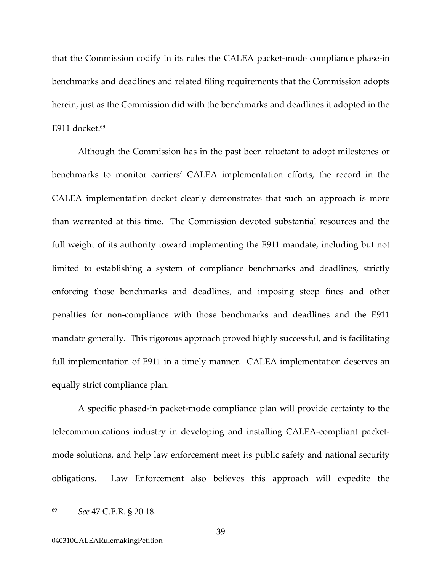that the Commission codify in its rules the CALEA packet-mode compliance phase-in benchmarks and deadlines and related filing requirements that the Commission adopts herein, just as the Commission did with the benchmarks and deadlines it adopted in the E911 docket. $69$ 

Although the Commission has in the past been reluctant to adopt milestones or benchmarks to monitor carriers' CALEA implementation efforts, the record in the CALEA implementation docket clearly demonstrates that such an approach is more than warranted at this time. The Commission devoted substantial resources and the full weight of its authority toward implementing the E911 mandate, including but not limited to establishing a system of compliance benchmarks and deadlines, strictly enforcing those benchmarks and deadlines, and imposing steep fines and other penalties for non-compliance with those benchmarks and deadlines and the E911 mandate generally. This rigorous approach proved highly successful, and is facilitating full implementation of E911 in a timely manner. CALEA implementation deserves an equally strict compliance plan.

A specific phased-in packet-mode compliance plan will provide certainty to the telecommunications industry in developing and installing CALEA-compliant packetmode solutions, and help law enforcement meet its public safety and national security obligations. Law Enforcement also believes this approach will expedite the

<span id="page-43-0"></span><sup>69</sup> *See* 47 C.F.R. § 20.18.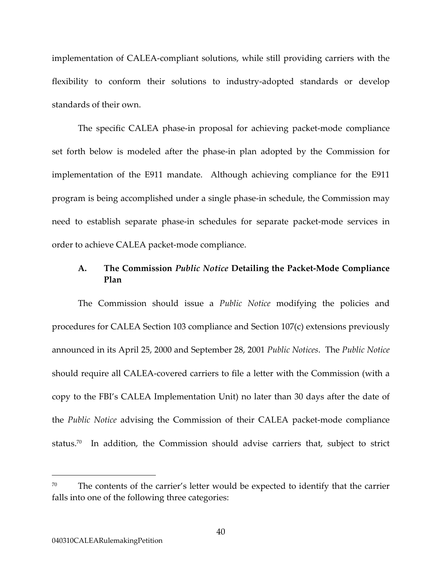<span id="page-44-0"></span>implementation of CALEA-compliant solutions, while still providing carriers with the flexibility to conform their solutions to industry-adopted standards or develop standards of their own.

The specific CALEA phase-in proposal for achieving packet-mode compliance set forth below is modeled after the phase-in plan adopted by the Commission for implementation of the E911 mandate. Although achieving compliance for the E911 program is being accomplished under a single phase-in schedule, the Commission may need to establish separate phase-in schedules for separate packet-mode services in order to achieve CALEA packet-mode compliance.

### **A. The Commission** *Public Notice* **Detailing the Packet-Mode Compliance Plan**

The Commission should issue a *Public Notice* modifying the policies and procedures for CALEA Section 103 compliance and Section 107(c) extensions previously announced in its April 25, 2000 and September 28, 2001 *Public Notices*. The *Public Notice* should require all CALEA-covered carriers to file a letter with the Commission (with a copy to the FBI's CALEA Implementation Unit) no later than 30 days after the date of the *Public Notice* advising the Commission of their CALEA packet-mode compliance status.<sup>70</sup> In addition, the Commission should advise carriers that, subject to strict

 $70$  The contents of the carrier's letter would be expected to identify that the carrier falls into one of the following three categories: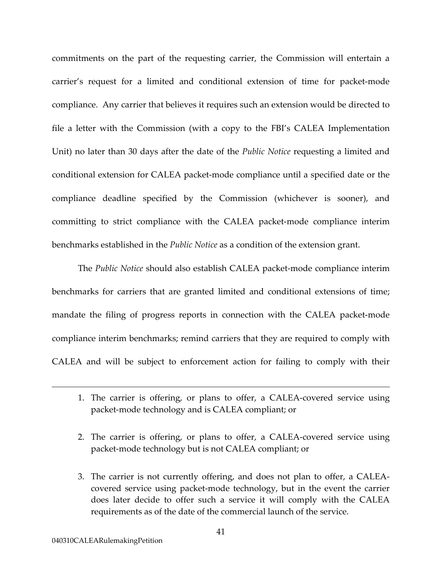commitments on the part of the requesting carrier, the Commission will entertain a carrier's request for a limited and conditional extension of time for packet-mode compliance. Any carrier that believes it requires such an extension would be directed to file a letter with the Commission (with a copy to the FBI's CALEA Implementation Unit) no later than 30 days after the date of the *Public Notice* requesting a limited and conditional extension for CALEA packet-mode compliance until a specified date or the compliance deadline specified by the Commission (whichever is sooner), and committing to strict compliance with the CALEA packet-mode compliance interim benchmarks established in the *Public Notice* as a condition of the extension grant.

The *Public Notice* should also establish CALEA packet-mode compliance interim benchmarks for carriers that are granted limited and conditional extensions of time; mandate the filing of progress reports in connection with the CALEA packet-mode compliance interim benchmarks; remind carriers that they are required to comply with CALEA and will be subject to enforcement action for failing to comply with their

- 1. The carrier is offering, or plans to offer, a CALEA-covered service using packet-mode technology and is CALEA compliant; or
- 2. The carrier is offering, or plans to offer, a CALEA-covered service using packet-mode technology but is not CALEA compliant; or
- 3. The carrier is not currently offering, and does not plan to offer, a CALEAcovered service using packet-mode technology, but in the event the carrier does later decide to offer such a service it will comply with the CALEA requirements as of the date of the commercial launch of the service.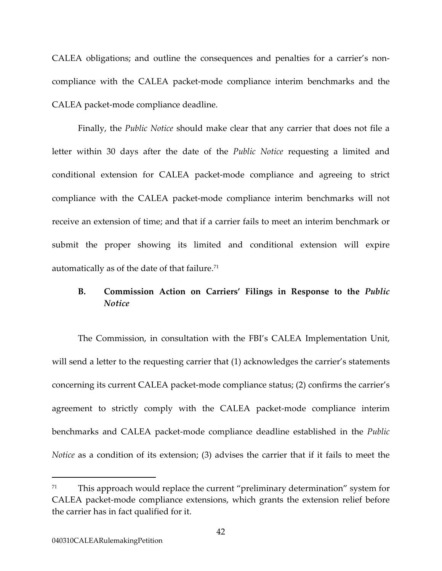CALEA obligations; and outline the consequences and penalties for a carrier's noncompliance with the CALEA packet-mode compliance interim benchmarks and the CALEA packet-mode compliance deadline.

Finally, the *Public Notice* should make clear that any carrier that does not file a letter within 30 days after the date of the *Public Notice* requesting a limited and conditional extension for CALEA packet-mode compliance and agreeing to strict compliance with the CALEA packet-mode compliance interim benchmarks will not receive an extension of time; and that if a carrier fails to meet an interim benchmark or submit the proper showing its limited and conditional extension will expire automatically as of the date of that failure[.71](#page-46-0) 

### **B. Commission Action on Carriers' Filings in Response to the** *Public Notice*

The Commission, in consultation with the FBI's CALEA Implementation Unit, will send a letter to the requesting carrier that  $(1)$  acknowledges the carrier's statements concerning its current CALEA packet-mode compliance status; (2) confirms the carrier's agreement to strictly comply with the CALEA packet-mode compliance interim benchmarks and CALEA packet-mode compliance deadline established in the *Public Notice* as a condition of its extension; (3) advises the carrier that if it fails to meet the

<span id="page-46-0"></span> $71$  This approach would replace the current "preliminary determination" system for CALEA packet-mode compliance extensions, which grants the extension relief before the carrier has in fact qualified for it.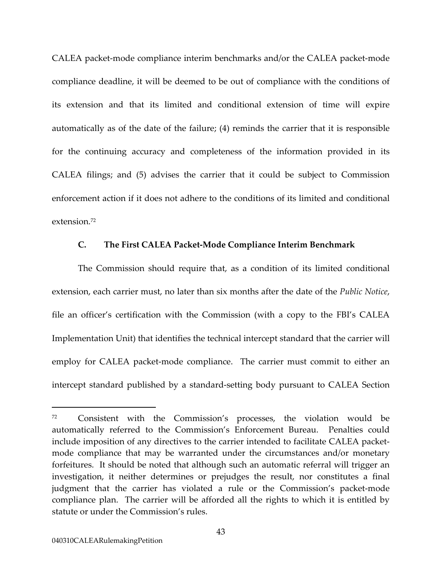CALEA packet-mode compliance interim benchmarks and/or the CALEA packet-mode compliance deadline, it will be deemed to be out of compliance with the conditions of its extension and that its limited and conditional extension of time will expire automatically as of the date of the failure; (4) reminds the carrier that it is responsible for the continuing accuracy and completeness of the information provided in its CALEA filings; and (5) advises the carrier that it could be subject to Commission enforcement action if it does not adhere to the conditions of its limited and conditional extension.[72](#page-47-0) 

#### **C. The First CALEA Packet-Mode Compliance Interim Benchmark**

The Commission should require that, as a condition of its limited conditional extension, each carrier must, no later than six months after the date of the *Public Notice*, file an officer's certification with the Commission (with a copy to the FBI's CALEA Implementation Unit) that identifies the technical intercept standard that the carrier will employ for CALEA packet-mode compliance. The carrier must commit to either an intercept standard published by a standard-setting body pursuant to CALEA Section

<span id="page-47-0"></span><sup>72</sup> Consistent with the Commission's processes, the violation would be automatically referred to the Commission's Enforcement Bureau. Penalties could include imposition of any directives to the carrier intended to facilitate CALEA packetmode compliance that may be warranted under the circumstances and/or monetary forfeitures. It should be noted that although such an automatic referral will trigger an investigation, it neither determines or prejudges the result, nor constitutes a final judgment that the carrier has violated a rule or the Commission's packet-mode compliance plan. The carrier will be afforded all the rights to which it is entitled by statute or under the Commission's rules.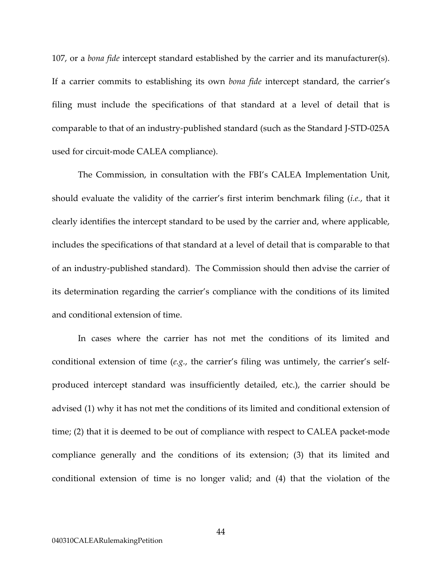107, or a *bona fide* intercept standard established by the carrier and its manufacturer(s). If a carrier commits to establishing its own *bona fide* intercept standard, the carrier's filing must include the specifications of that standard at a level of detail that is comparable to that of an industry-published standard (such as the Standard J-STD-025A used for circuit-mode CALEA compliance).

The Commission, in consultation with the FBI's CALEA Implementation Unit, should evaluate the validity of the carrier's first interim benchmark filing (*i.e.*, that it clearly identifies the intercept standard to be used by the carrier and, where applicable, includes the specifications of that standard at a level of detail that is comparable to that of an industry-published standard). The Commission should then advise the carrier of its determination regarding the carrier's compliance with the conditions of its limited and conditional extension of time.

In cases where the carrier has not met the conditions of its limited and conditional extension of time (*e.g.*, the carrier's filing was untimely, the carrier's selfproduced intercept standard was insufficiently detailed, etc.), the carrier should be advised (1) why it has not met the conditions of its limited and conditional extension of time; (2) that it is deemed to be out of compliance with respect to CALEA packet-mode compliance generally and the conditions of its extension; (3) that its limited and conditional extension of time is no longer valid; and (4) that the violation of the

44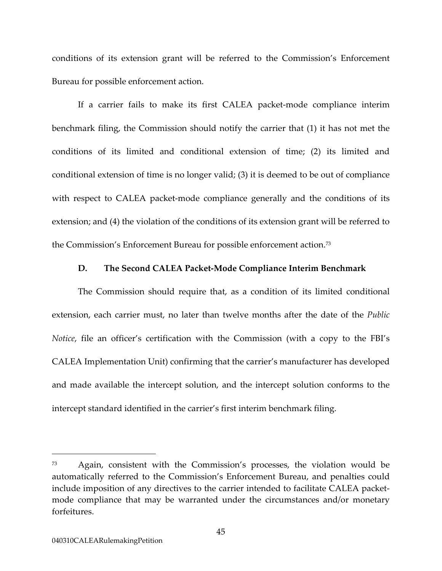conditions of its extension grant will be referred to the Commission's Enforcement Bureau for possible enforcement action.

If a carrier fails to make its first CALEA packet-mode compliance interim benchmark filing, the Commission should notify the carrier that (1) it has not met the conditions of its limited and conditional extension of time; (2) its limited and conditional extension of time is no longer valid; (3) it is deemed to be out of compliance with respect to CALEA packet-mode compliance generally and the conditions of its extension; and (4) the violation of the conditions of its extension grant will be referred to the Commission's Enforcement Bureau for possible enforcement action.[73](#page-49-0) 

#### **D. The Second CALEA Packet-Mode Compliance Interim Benchmark**

The Commission should require that, as a condition of its limited conditional extension, each carrier must, no later than twelve months after the date of the *Public Notice*, file an officer's certification with the Commission (with a copy to the FBI's CALEA Implementation Unit) confirming that the carrier's manufacturer has developed and made available the intercept solution, and the intercept solution conforms to the intercept standard identified in the carrier's first interim benchmark filing.

<span id="page-49-0"></span><sup>73</sup> Again, consistent with the Commission's processes, the violation would be automatically referred to the Commission's Enforcement Bureau, and penalties could include imposition of any directives to the carrier intended to facilitate CALEA packetmode compliance that may be warranted under the circumstances and/or monetary forfeitures.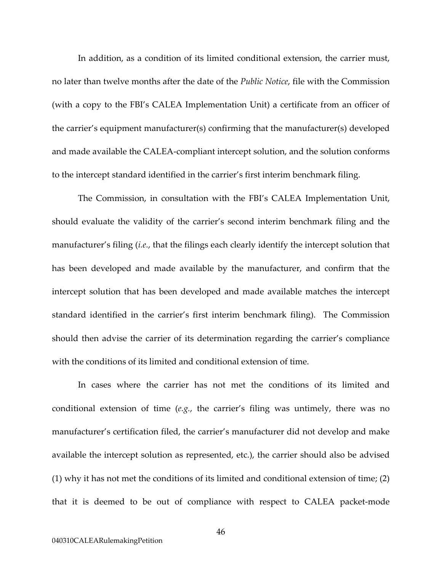In addition, as a condition of its limited conditional extension, the carrier must, no later than twelve months after the date of the *Public Notice*, file with the Commission (with a copy to the FBI's CALEA Implementation Unit) a certificate from an officer of the carrier's equipment manufacturer(s) confirming that the manufacturer(s) developed and made available the CALEA-compliant intercept solution, and the solution conforms to the intercept standard identified in the carrier's first interim benchmark filing.

The Commission, in consultation with the FBI's CALEA Implementation Unit, should evaluate the validity of the carrier's second interim benchmark filing and the manufacturer's filing (*i.e.*, that the filings each clearly identify the intercept solution that has been developed and made available by the manufacturer, and confirm that the intercept solution that has been developed and made available matches the intercept standard identified in the carrier's first interim benchmark filing). The Commission should then advise the carrier of its determination regarding the carrier's compliance with the conditions of its limited and conditional extension of time.

In cases where the carrier has not met the conditions of its limited and conditional extension of time (*e.g.*, the carrier's filing was untimely, there was no manufacturer's certification filed, the carrier's manufacturer did not develop and make available the intercept solution as represented, etc.), the carrier should also be advised (1) why it has not met the conditions of its limited and conditional extension of time; (2) that it is deemed to be out of compliance with respect to CALEA packet-mode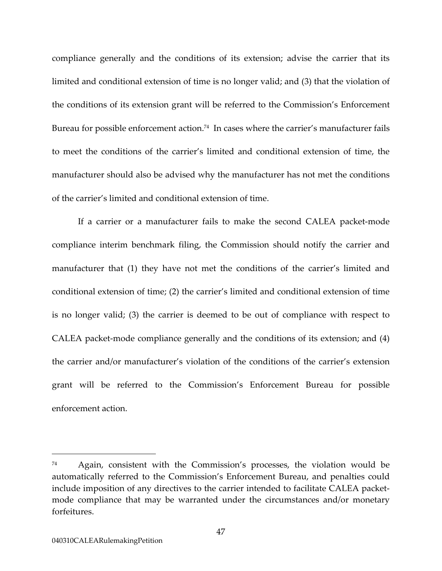compliance generally and the conditions of its extension; advise the carrier that its limited and conditional extension of time is no longer valid; and (3) that the violation of the conditions of its extension grant will be referred to the Commission's Enforcement Bureau for possible enforcement action.<sup>74</sup> In cases where the carrier's manufacturer fails to meet the conditions of the carrier's limited and conditional extension of time, the manufacturer should also be advised why the manufacturer has not met the conditions of the carrier's limited and conditional extension of time.

If a carrier or a manufacturer fails to make the second CALEA packet-mode compliance interim benchmark filing, the Commission should notify the carrier and manufacturer that (1) they have not met the conditions of the carrier's limited and conditional extension of time; (2) the carrier's limited and conditional extension of time is no longer valid; (3) the carrier is deemed to be out of compliance with respect to CALEA packet-mode compliance generally and the conditions of its extension; and (4) the carrier and/or manufacturer's violation of the conditions of the carrier's extension grant will be referred to the Commission's Enforcement Bureau for possible enforcement action.

<span id="page-51-0"></span><sup>74</sup> Again, consistent with the Commission's processes, the violation would be automatically referred to the Commission's Enforcement Bureau, and penalties could include imposition of any directives to the carrier intended to facilitate CALEA packetmode compliance that may be warranted under the circumstances and/or monetary forfeitures.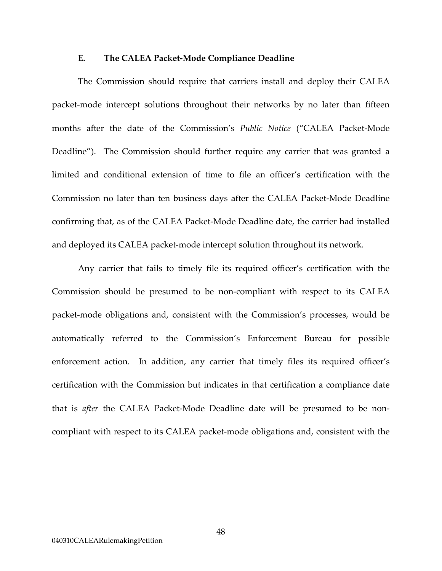#### **E. The CALEA Packet-Mode Compliance Deadline**

The Commission should require that carriers install and deploy their CALEA packet-mode intercept solutions throughout their networks by no later than fifteen months after the date of the Commission's *Public Notice* ("CALEA Packet-Mode Deadline"). The Commission should further require any carrier that was granted a limited and conditional extension of time to file an officer's certification with the Commission no later than ten business days after the CALEA Packet-Mode Deadline confirming that, as of the CALEA Packet-Mode Deadline date, the carrier had installed and deployed its CALEA packet-mode intercept solution throughout its network.

Any carrier that fails to timely file its required officer's certification with the Commission should be presumed to be non-compliant with respect to its CALEA packet-mode obligations and, consistent with the Commission's processes, would be automatically referred to the Commission's Enforcement Bureau for possible enforcement action. In addition, any carrier that timely files its required officer's certification with the Commission but indicates in that certification a compliance date that is *after* the CALEA Packet-Mode Deadline date will be presumed to be noncompliant with respect to its CALEA packet-mode obligations and, consistent with the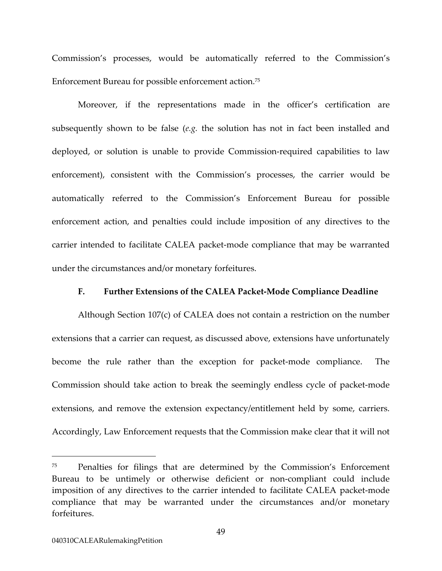Commission's processes, would be automatically referred to the Commission's Enforcement Bureau for possible enforcement action[.75](#page-53-0) 

Moreover, if the representations made in the officer's certification are subsequently shown to be false (*e.g.* the solution has not in fact been installed and deployed, or solution is unable to provide Commission-required capabilities to law enforcement), consistent with the Commission's processes, the carrier would be automatically referred to the Commission's Enforcement Bureau for possible enforcement action, and penalties could include imposition of any directives to the carrier intended to facilitate CALEA packet-mode compliance that may be warranted under the circumstances and/or monetary forfeitures.

#### **F. Further Extensions of the CALEA Packet-Mode Compliance Deadline**

Although Section 107(c) of CALEA does not contain a restriction on the number extensions that a carrier can request, as discussed above, extensions have unfortunately become the rule rather than the exception for packet-mode compliance. The Commission should take action to break the seemingly endless cycle of packet-mode extensions, and remove the extension expectancy/entitlement held by some, carriers. Accordingly, Law Enforcement requests that the Commission make clear that it will not

<span id="page-53-0"></span><sup>75</sup> Penalties for filings that are determined by the Commission's Enforcement Bureau to be untimely or otherwise deficient or non-compliant could include imposition of any directives to the carrier intended to facilitate CALEA packet-mode compliance that may be warranted under the circumstances and/or monetary forfeitures.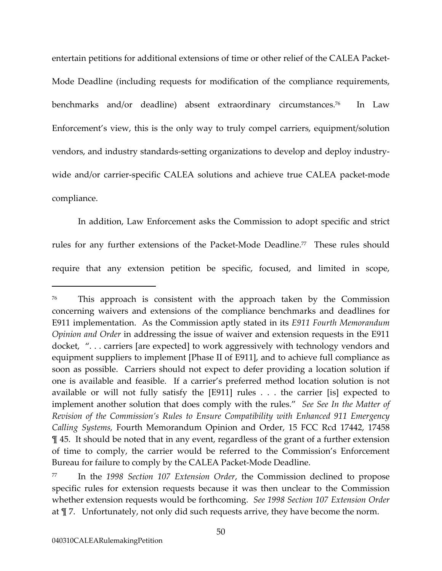entertain petitions for additional extensions of time or other relief of the CALEA Packet-Mode Deadline (including requests for modification of the compliance requirements, benchmarks and/or deadline) absent extraordinary circumstances.<sup>76</sup> In Law Enforcement's view, this is the only way to truly compel carriers, equipment/solution vendors, and industry standards-setting organizations to develop and deploy industrywide and/or carrier-specific CALEA solutions and achieve true CALEA packet-mode compliance.

In addition, Law Enforcement asks the Commission to adopt specific and strict rules for any further extensions of the Packet-Mode Deadline.<sup>77</sup> These rules should require that any extension petition be specific, focused, and limited in scope,

<span id="page-54-0"></span><sup>76</sup> This approach is consistent with the approach taken by the Commission concerning waivers and extensions of the compliance benchmarks and deadlines for E911 implementation. As the Commission aptly stated in its *E911 Fourth Memorandum Opinion and Order* in addressing the issue of waiver and extension requests in the E911 docket, ". . . carriers [are expected] to work aggressively with technology vendors and equipment suppliers to implement [Phase II of E911], and to achieve full compliance as soon as possible. Carriers should not expect to defer providing a location solution if one is available and feasible. If a carrier's preferred method location solution is not available or will not fully satisfy the [E911] rules . . . the carrier [is] expected to implement another solution that does comply with the rules." *See See In the Matter of Revision of the Commission's Rules to Ensure Compatibility with Enhanced 911 Emergency Calling Systems,* Fourth Memorandum Opinion and Order, 15 FCC Rcd 17442, 17458 ¶ 45. It should be noted that in any event, regardless of the grant of a further extension of time to comply, the carrier would be referred to the Commission's Enforcement Bureau for failure to comply by the CALEA Packet-Mode Deadline.

<span id="page-54-1"></span><sup>77</sup> In the *1998 Section 107 Extension Order*, the Commission declined to propose specific rules for extension requests because it was then unclear to the Commission whether extension requests would be forthcoming. *See 1998 Section 107 Extension Order* at ¶ 7. Unfortunately, not only did such requests arrive, they have become the norm.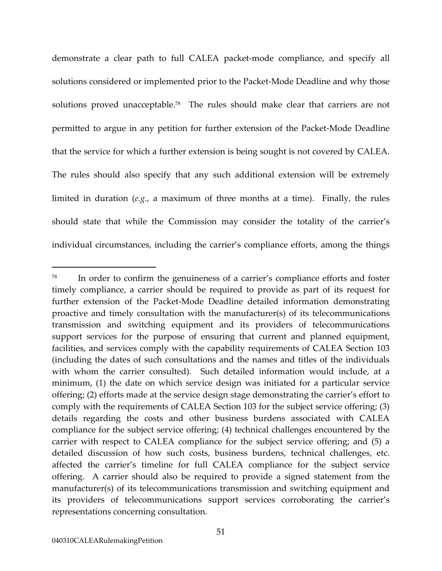demonstrate a clear path to full CALEA packet-mode compliance, and specify all solutions considered or implemented prior to the Packet-Mode Deadline and why those solutions proved unacceptable.<sup>78</sup> The rules should make clear that carriers are not permitted to argue in any petition for further extension of the Packet-Mode Deadline that the service for which a further extension is being sought is not covered by CALEA. The rules should also specify that any such additional extension will be extremely limited in duration (*e.g.*, a maximum of three months at a time). Finally, the rules should state that while the Commission may consider the totality of the carrier's individual circumstances, including the carrier's compliance efforts, among the things

<span id="page-55-0"></span><sup>78</sup> In order to confirm the genuineness of a carrier's compliance efforts and foster timely compliance, a carrier should be required to provide as part of its request for further extension of the Packet-Mode Deadline detailed information demonstrating proactive and timely consultation with the manufacturer(s) of its telecommunications transmission and switching equipment and its providers of telecommunications support services for the purpose of ensuring that current and planned equipment, facilities, and services comply with the capability requirements of CALEA Section 103 (including the dates of such consultations and the names and titles of the individuals with whom the carrier consulted). Such detailed information would include, at a minimum, (1) the date on which service design was initiated for a particular service offering; (2) efforts made at the service design stage demonstrating the carrier's effort to comply with the requirements of CALEA Section 103 for the subject service offering; (3) details regarding the costs and other business burdens associated with CALEA compliance for the subject service offering; (4) technical challenges encountered by the carrier with respect to CALEA compliance for the subject service offering; and (5) a detailed discussion of how such costs, business burdens, technical challenges, etc. affected the carrier's timeline for full CALEA compliance for the subject service offering. A carrier should also be required to provide a signed statement from the manufacturer(s) of its telecommunications transmission and switching equipment and its providers of telecommunications support services corroborating the carrier's representations concerning consultation.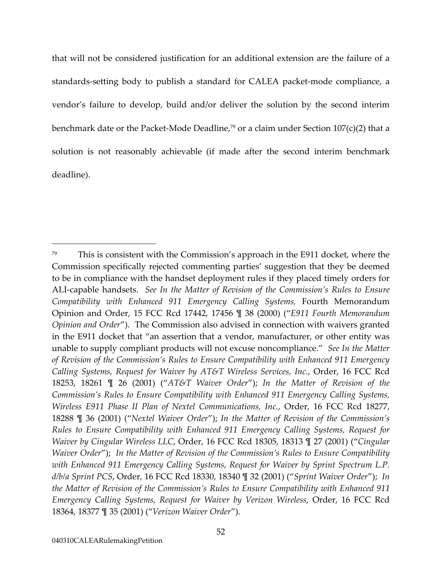that will not be considered justification for an additional extension are the failure of a standards-setting body to publish a standard for CALEA packet-mode compliance, a vendor's failure to develop, build and/or deliver the solution by the second interim benchmark date or the Packet-Mode Deadline,<sup>79</sup> or a claim under Section  $107(c)(2)$  that a solution is not reasonably achievable (if made after the second interim benchmark deadline).

<span id="page-56-0"></span><sup>79</sup> This is consistent with the Commission's approach in the E911 docket, where the Commission specifically rejected commenting parties' suggestion that they be deemed to be in compliance with the handset deployment rules if they placed timely orders for ALI-capable handsets. *See In the Matter of Revision of the Commission's Rules to Ensure Compatibility with Enhanced 911 Emergency Calling Systems,* Fourth Memorandum Opinion and Order, 15 FCC Rcd 17442, 17456 ¶ 38 (2000) ("*E911 Fourth Memorandum Opinion and Order*"). The Commission also advised in connection with waivers granted in the E911 docket that "an assertion that a vendor, manufacturer, or other entity was unable to supply compliant products will not excuse noncompliance." *See In the Matter of Revision of the Commission's Rules to Ensure Compatibility with Enhanced 911 Emergency Calling Systems, Request for Waiver by AT&T Wireless Services, Inc.*, Order, 16 FCC Rcd 18253, 18261 ¶ 26 (2001) ("*AT&T Waiver Order*"); *In the Matter of Revision of the Commission's Rules to Ensure Compatibility with Enhanced 911 Emergency Calling Systems, Wireless E911 Phase II Plan of Nextel Communications, Inc.*, Order, 16 FCC Rcd 18277, 18288 ¶ 36 (2001) ("*Nextel Waiver Order*"); *In the Matter of Revision of the Commission's Rules to Ensure Compatibility with Enhanced 911 Emergency Calling Systems, Request for Waiver by Cingular Wireless LLC*, Order, 16 FCC Rcd 18305, 18313 ¶ 27 (2001) ("*Cingular Waiver Order*"); *In the Matter of Revision of the Commission's Rules to Ensure Compatibility with Enhanced 911 Emergency Calling Systems, Request for Waiver by Sprint Spectrum L.P. d/b/a Sprint PCS*, Order, 16 FCC Rcd 18330, 18340 ¶ 32 (2001) ("*Sprint Waiver Order*"); *In the Matter of Revision of the Commission's Rules to Ensure Compatibility with Enhanced 911 Emergency Calling Systems, Request for Waiver by Verizon Wireless*, Order, 16 FCC Rcd 18364, 18377 ¶ 35 (2001) ("*Verizon Waiver Order*").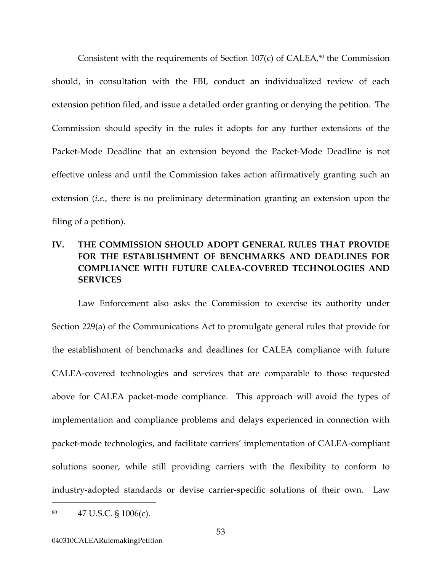Consistent with the requirements of Section  $107(c)$  of CALEA,<sup>80</sup> the Commission should, in consultation with the FBI, conduct an individualized review of each extension petition filed, and issue a detailed order granting or denying the petition. The Commission should specify in the rules it adopts for any further extensions of the Packet-Mode Deadline that an extension beyond the Packet-Mode Deadline is not effective unless and until the Commission takes action affirmatively granting such an extension (*i.e.*, there is no preliminary determination granting an extension upon the filing of a petition).

# **IV. THE COMMISSION SHOULD ADOPT GENERAL RULES THAT PROVIDE FOR THE ESTABLISHMENT OF BENCHMARKS AND DEADLINES FOR COMPLIANCE WITH FUTURE CALEA-COVERED TECHNOLOGIES AND SERVICES**

Law Enforcement also asks the Commission to exercise its authority under Section 229(a) of the Communications Act to promulgate general rules that provide for the establishment of benchmarks and deadlines for CALEA compliance with future CALEA-covered technologies and services that are comparable to those requested above for CALEA packet-mode compliance. This approach will avoid the types of implementation and compliance problems and delays experienced in connection with packet-mode technologies, and facilitate carriers' implementation of CALEA-compliant solutions sooner, while still providing carriers with the flexibility to conform to industry-adopted standards or devise carrier-specific solutions of their own. Law

<span id="page-57-0"></span> $^{80}$  47 U.S.C. § 1006(c).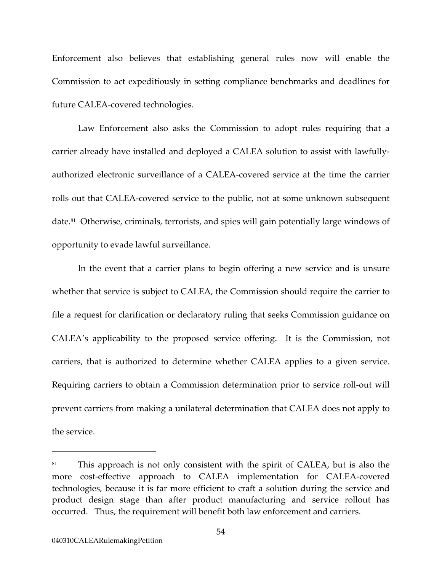Enforcement also believes that establishing general rules now will enable the Commission to act expeditiously in setting compliance benchmarks and deadlines for future CALEA-covered technologies.

Law Enforcement also asks the Commission to adopt rules requiring that a carrier already have installed and deployed a CALEA solution to assist with lawfullyauthorized electronic surveillance of a CALEA-covered service at the time the carrier rolls out that CALEA-covered service to the public, not at some unknown subsequent date.<sup>81</sup> Otherwise, criminals, terrorists, and spies will gain potentially large windows of opportunity to evade lawful surveillance.

In the event that a carrier plans to begin offering a new service and is unsure whether that service is subject to CALEA, the Commission should require the carrier to file a request for clarification or declaratory ruling that seeks Commission guidance on CALEA's applicability to the proposed service offering. It is the Commission, not carriers, that is authorized to determine whether CALEA applies to a given service. Requiring carriers to obtain a Commission determination prior to service roll-out will prevent carriers from making a unilateral determination that CALEA does not apply to the service.

<span id="page-58-0"></span><sup>&</sup>lt;sup>81</sup> This approach is not only consistent with the spirit of CALEA, but is also the more cost-effective approach to CALEA implementation for CALEA-covered technologies, because it is far more efficient to craft a solution during the service and product design stage than after product manufacturing and service rollout has occurred. Thus, the requirement will benefit both law enforcement and carriers.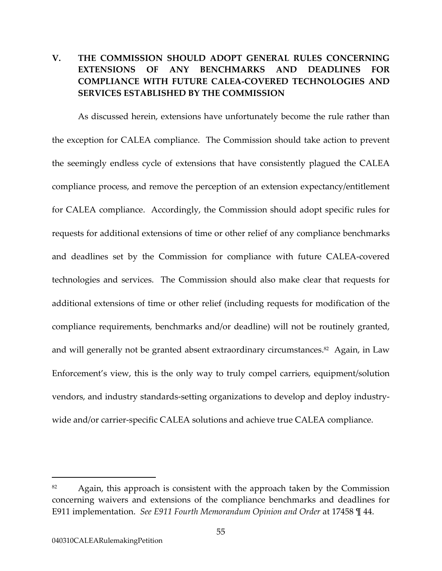# **V. THE COMMISSION SHOULD ADOPT GENERAL RULES CONCERNING EXTENSIONS OF ANY BENCHMARKS AND DEADLINES FOR COMPLIANCE WITH FUTURE CALEA-COVERED TECHNOLOGIES AND SERVICES ESTABLISHED BY THE COMMISSION**

As discussed herein, extensions have unfortunately become the rule rather than the exception for CALEA compliance. The Commission should take action to prevent the seemingly endless cycle of extensions that have consistently plagued the CALEA compliance process, and remove the perception of an extension expectancy/entitlement for CALEA compliance. Accordingly, the Commission should adopt specific rules for requests for additional extensions of time or other relief of any compliance benchmarks and deadlines set by the Commission for compliance with future CALEA-covered technologies and services. The Commission should also make clear that requests for additional extensions of time or other relief (including requests for modification of the compliance requirements, benchmarks and/or deadline) will not be routinely granted, and will generally not be granted absent extraordinary circumstances.<sup>82</sup> Again, in Law Enforcement's view, this is the only way to truly compel carriers, equipment/solution vendors, and industry standards-setting organizations to develop and deploy industrywide and/or carrier-specific CALEA solutions and achieve true CALEA compliance.

<span id="page-59-0"></span> $82$  Again, this approach is consistent with the approach taken by the Commission concerning waivers and extensions of the compliance benchmarks and deadlines for E911 implementation. *See E911 Fourth Memorandum Opinion and Order* at 17458 ¶ 44.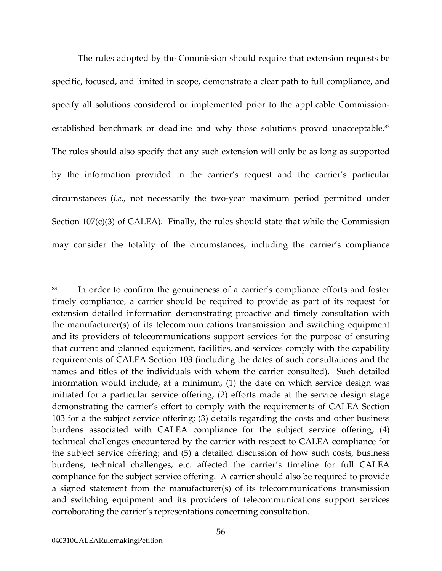The rules adopted by the Commission should require that extension requests be specific, focused, and limited in scope, demonstrate a clear path to full compliance, and specify all solutions considered or implemented prior to the applicable Commissionestablished benchmark or deadline and why those solutions proved unacceptable.<sup>83</sup> The rules should also specify that any such extension will only be as long as supported by the information provided in the carrier's request and the carrier's particular circumstances (*i.e.*, not necessarily the two-year maximum period permitted under Section  $107(c)(3)$  of CALEA). Finally, the rules should state that while the Commission may consider the totality of the circumstances, including the carrier's compliance

<span id="page-60-0"></span><sup>83</sup> In order to confirm the genuineness of a carrier's compliance efforts and foster timely compliance, a carrier should be required to provide as part of its request for extension detailed information demonstrating proactive and timely consultation with the manufacturer(s) of its telecommunications transmission and switching equipment and its providers of telecommunications support services for the purpose of ensuring that current and planned equipment, facilities, and services comply with the capability requirements of CALEA Section 103 (including the dates of such consultations and the names and titles of the individuals with whom the carrier consulted). Such detailed information would include, at a minimum, (1) the date on which service design was initiated for a particular service offering; (2) efforts made at the service design stage demonstrating the carrier's effort to comply with the requirements of CALEA Section 103 for a the subject service offering; (3) details regarding the costs and other business burdens associated with CALEA compliance for the subject service offering; (4) technical challenges encountered by the carrier with respect to CALEA compliance for the subject service offering; and (5) a detailed discussion of how such costs, business burdens, technical challenges, etc. affected the carrier's timeline for full CALEA compliance for the subject service offering. A carrier should also be required to provide a signed statement from the manufacturer(s) of its telecommunications transmission and switching equipment and its providers of telecommunications support services corroborating the carrier's representations concerning consultation.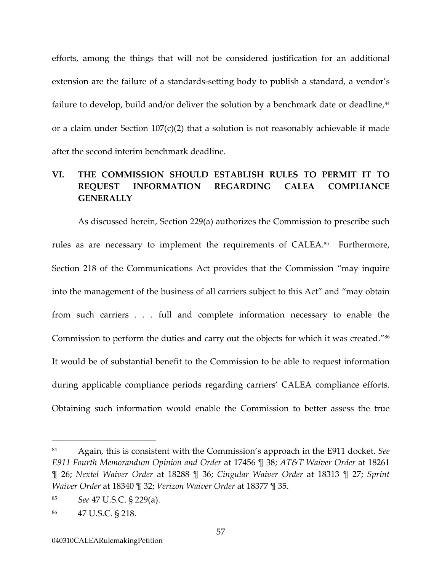efforts, among the things that will not be considered justification for an additional extension are the failure of a standards-setting body to publish a standard, a vendor's failure to develop, build and/or deliver the solution by a benchmark date or deadline, $84$ or a claim under Section  $107(c)(2)$  that a solution is not reasonably achievable if made after the second interim benchmark deadline.

# **VI. THE COMMISSION SHOULD ESTABLISH RULES TO PERMIT IT TO REQUEST INFORMATION REGARDING CALEA COMPLIANCE GENERALLY**

As discussed herein, Section 229(a) authorizes the Commission to prescribe such rules as are necessary to implement the requirements of CALEA.<sup>85</sup> Furthermore, Section 218 of the Communications Act provides that the Commission "may inquire into the management of the business of all carriers subject to this Act" and "may obtain from such carriers . . . full and complete information necessary to enable the Commission to perform the duties and carry out the objects for which it was created."[86](#page-61-2)  It would be of substantial benefit to the Commission to be able to request information during applicable compliance periods regarding carriers' CALEA compliance efforts. Obtaining such information would enable the Commission to better assess the true

<span id="page-61-0"></span><sup>84</sup> Again, this is consistent with the Commission's approach in the E911 docket. *See E911 Fourth Memorandum Opinion and Order* at 17456 ¶ 38; *AT&T Waiver Order* at 18261 ¶ 26; *Nextel Waiver Order* at 18288 ¶ 36; *Cingular Waiver Order* at 18313 ¶ 27; *Sprint Waiver Order* at 18340 ¶ 32; *Verizon Waiver Order* at 18377 ¶ 35.

<span id="page-61-1"></span><sup>85</sup> *See* 47 U.S.C. § 229(a).

<span id="page-61-2"></span><sup>86 47</sup> U.S.C. § 218.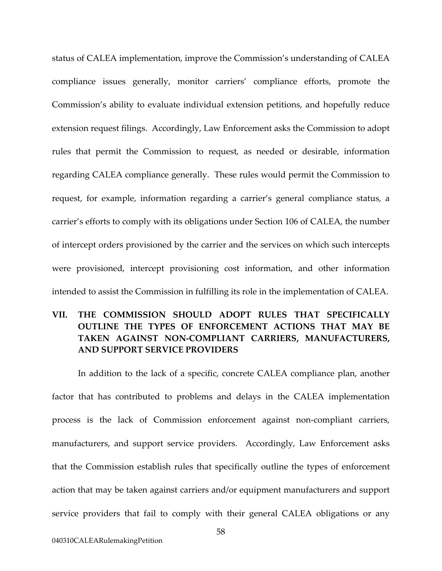status of CALEA implementation, improve the Commission's understanding of CALEA compliance issues generally, monitor carriers' compliance efforts, promote the Commission's ability to evaluate individual extension petitions, and hopefully reduce extension request filings. Accordingly, Law Enforcement asks the Commission to adopt rules that permit the Commission to request, as needed or desirable, information regarding CALEA compliance generally. These rules would permit the Commission to request, for example, information regarding a carrier's general compliance status, a carrier's efforts to comply with its obligations under Section 106 of CALEA, the number of intercept orders provisioned by the carrier and the services on which such intercepts were provisioned, intercept provisioning cost information, and other information intended to assist the Commission in fulfilling its role in the implementation of CALEA.

# **VII. THE COMMISSION SHOULD ADOPT RULES THAT SPECIFICALLY OUTLINE THE TYPES OF ENFORCEMENT ACTIONS THAT MAY BE TAKEN AGAINST NON-COMPLIANT CARRIERS, MANUFACTURERS, AND SUPPORT SERVICE PROVIDERS**

In addition to the lack of a specific, concrete CALEA compliance plan, another factor that has contributed to problems and delays in the CALEA implementation process is the lack of Commission enforcement against non-compliant carriers, manufacturers, and support service providers. Accordingly, Law Enforcement asks that the Commission establish rules that specifically outline the types of enforcement action that may be taken against carriers and/or equipment manufacturers and support service providers that fail to comply with their general CALEA obligations or any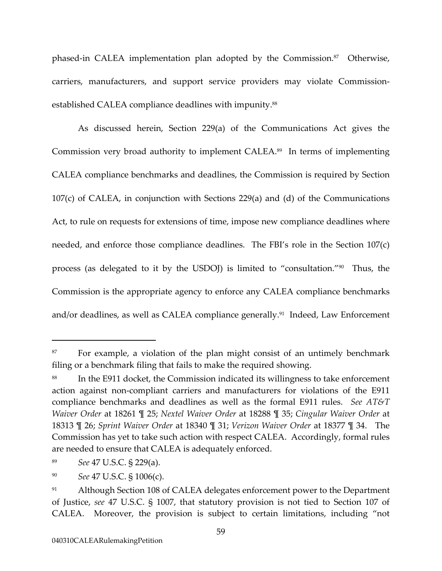<span id="page-63-4"></span>phased-in CALEA implementation plan adopted by the Commission.<sup>87</sup> Otherwise, carriers, manufacturers, and support service providers may violate Commissionestablished CALEA compliance deadlines with impunity.<sup>88</sup>

As discussed herein, Section 229(a) of the Communications Act gives the Commission very broad authority to implement CALEA.[89](#page-63-2) In terms of implementing CALEA compliance benchmarks and deadlines, the Commission is required by Section 107(c) of CALEA, in conjunction with Sections 229(a) and (d) of the Communications Act, to rule on requests for extensions of time, impose new compliance deadlines where needed, and enforce those compliance deadlines. The FBI's role in the Section 107(c) process (as delegated to it by the USDOJ) is limited to "consultation."[90](#page-63-3) Thus, the Commission is the appropriate agency to enforce any CALEA compliance benchmarks and/or deadlines, as well as CALEA compliance generally.<sup>91</sup> Indeed, Law Enforcement

<span id="page-63-0"></span><sup>&</sup>lt;sup>87</sup> For example, a violation of the plan might consist of an untimely benchmark filing or a benchmark filing that fails to make the required showing.

<span id="page-63-1"></span>In the E911 docket, the Commission indicated its willingness to take enforcement action against non-compliant carriers and manufacturers for violations of the E911 compliance benchmarks and deadlines as well as the formal E911 rules. *See AT&T Waiver Order* at 18261 ¶ 25; *Nextel Waiver Order* at 18288 ¶ 35; *Cingular Waiver Order* at 18313 ¶ 26; *Sprint Waiver Order* at 18340 ¶ 31; *Verizon Waiver Order* at 18377 ¶ 34. The Commission has yet to take such action with respect CALEA. Accordingly, formal rules are needed to ensure that CALEA is adequately enforced.

<span id="page-63-2"></span><sup>89</sup> *See* 47 U.S.C. § 229(a).

<span id="page-63-3"></span><sup>90</sup> *See* 47 U.S.C. § 1006(c).

<sup>&</sup>lt;sup>91</sup> Although Section 108 of CALEA delegates enforcement power to the Department of Justice, *see* 47 U.S.C. § 1007, that statutory provision is not tied to Section 107 of CALEA. Moreover, the provision is subject to certain limitations, including "not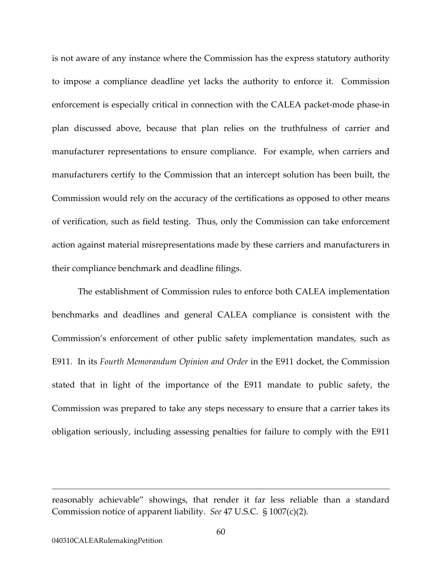is not aware of any instance where the Commission has the express statutory authority to impose a compliance deadline yet lacks the authority to enforce it. Commission enforcement is especially critical in connection with the CALEA packet-mode phase-in plan discussed above, because that plan relies on the truthfulness of carrier and manufacturer representations to ensure compliance. For example, when carriers and manufacturers certify to the Commission that an intercept solution has been built, the Commission would rely on the accuracy of the certifications as opposed to other means of verification, such as field testing. Thus, only the Commission can take enforcement action against material misrepresentations made by these carriers and manufacturers in their compliance benchmark and deadline filings.

The establishment of Commission rules to enforce both CALEA implementation benchmarks and deadlines and general CALEA compliance is consistent with the Commission's enforcement of other public safety implementation mandates, such as E911. In its *Fourth Memorandum Opinion and Order* in the E911 docket, the Commission stated that in light of the importance of the E911 mandate to public safety, the Commission was prepared to take any steps necessary to ensure that a carrier takes its obligation seriously, including assessing penalties for failure to comply with the E911

reasonably achievable" showings, that render it far less reliable than a standard Commission notice of apparent liability. *See* 47 U.S.C. § 1007(c)(2).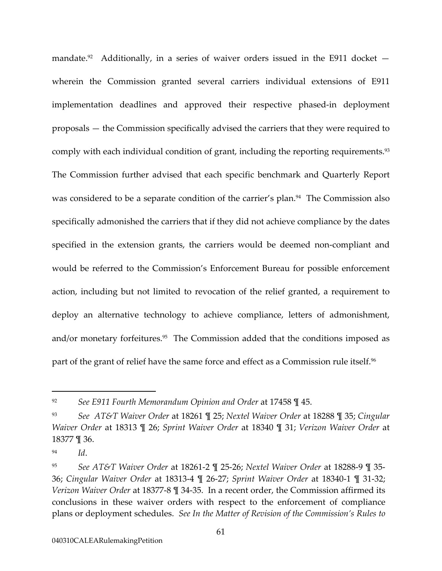<span id="page-65-4"></span><span id="page-65-3"></span>mandate.<sup>92</sup> Additionally, in a series of waiver orders issued in the E911 docket  $$ wherein the Commission granted several carriers individual extensions of E911 implementation deadlines and approved their respective phased-in deployment proposals — the Commission specifically advised the carriers that they were required to comply with each individual condition of grant, including the reporting requirements.<sup>93</sup> The Commission further advised that each specific benchmark and Quarterly Report was considered to be a separate condition of the carrier's plan.<sup>94</sup> The Commission also specifically admonished the carriers that if they did not achieve compliance by the dates specified in the extension grants, the carriers would be deemed non-compliant and would be referred to the Commission's Enforcement Bureau for possible enforcement action, including but not limited to revocation of the relief granted, a requirement to deploy an alternative technology to achieve compliance, letters of admonishment, and/or monetary forfeitures.<sup>95</sup> The Commission added that the conditions imposed as part of the grant of relief have the same force and effect as a Commission rule itself.<sup>96</sup>

<span id="page-65-0"></span><sup>92</sup> *See E911 Fourth Memorandum Opinion and Order* at 17458 ¶ 45.

<span id="page-65-1"></span><sup>93</sup> *See AT&T Waiver Order* at 18261 ¶ 25; *Nextel Waiver Order* at 18288 ¶ 35; *Cingular Waiver Order* at 18313 ¶ 26; *Sprint Waiver Order* at 18340 ¶ 31; *Verizon Waiver Order* at 18377 ¶ 36.

<span id="page-65-2"></span><sup>94</sup> *Id*.

<sup>95</sup> *See AT&T Waiver Order* at 18261-2 ¶ 25-26; *Nextel Waiver Order* at 18288-9 ¶ 35- 36; *Cingular Waiver Order* at 18313-4 ¶ 26-27; *Sprint Waiver Order* at 18340-1 ¶ 31-32; *Verizon Waiver Order* at 18377-8 ¶ 34-35. In a recent order, the Commission affirmed its conclusions in these waiver orders with respect to the enforcement of compliance plans or deployment schedules. *See In the Matter of Revision of the Commission's Rules to*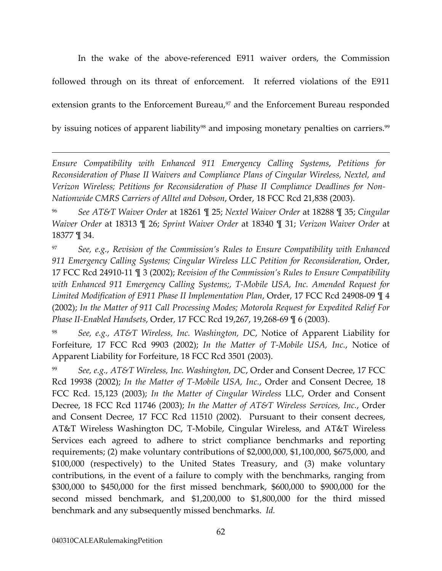In the wake of the above-referenced E911 waiver orders, the Commission followed through on its threat of enforcement. It referred violations of the E911 extension grants to the Enforcement Bureau, $97$  and the Enforcement Bureau responded by issuing notices of apparent liability<sup>98</sup> and imposing monetary penalties on carriers.<sup>99</sup>

*Ensure Compatibility with Enhanced 911 Emergency Calling Systems*, *Petitions for Reconsideration of Phase II Waivers and Compliance Plans of Cingular Wireless, Nextel, and Verizon Wireless; Petitions for Reconsideration of Phase II Compliance Deadlines for Non-Nationwide CMRS Carriers of Alltel and Dobson*, Order, 18 FCC Rcd 21,838 (2003).

96 *See AT&T Waiver Order* at 18261 ¶ 25; *Nextel Waiver Order* at 18288 ¶ 35; *Cingular Waiver Order* at 18313 ¶ 26; *Sprint Waiver Order* at 18340 ¶ 31; *Verizon Waiver Order* at 18377 ¶ 34.

<span id="page-66-0"></span>97 *See, e.g.*, *Revision of the Commission's Rules to Ensure Compatibility with Enhanced 911 Emergency Calling Systems; Cingular Wireless LLC Petition for Reconsideration*, Order, 17 FCC Rcd 24910-11 ¶ 3 (2002); *Revision of the Commission's Rules to Ensure Compatibility with Enhanced 911 Emergency Calling Systems;, T-Mobile USA, Inc. Amended Request for Limited Modification of E911 Phase II Implementation Plan*, Order, 17 FCC Rcd 24908-09 ¶ 4 (2002); *In the Matter of 911 Call Processing Modes; Motorola Request for Expedited Relief For Phase II-Enabled Handsets*, Order, 17 FCC Rcd 19,267, 19,268-69 ¶ 6 (2003).

<span id="page-66-1"></span><sup>98</sup> *See, e.g., AT&T Wireless, Inc. Washington, DC*, Notice of Apparent Liability for Forfeiture, 17 FCC Rcd 9903 (2002); *In the Matter of T-Mobile USA, Inc.*, Notice of Apparent Liability for Forfeiture, 18 FCC Rcd 3501 (2003).

<span id="page-66-2"></span>99 *See, e.g., AT&T Wireless, Inc. Washington, DC*, Order and Consent Decree, 17 FCC Rcd 19938 (2002); *In the Matter of T-Mobile USA, Inc.*, Order and Consent Decree, 18 FCC Rcd. 15,123 (2003); *In the Matter of Cingular Wireless* LLC, Order and Consent Decree, 18 FCC Rcd 11746 (2003); *In the Matter of AT&T Wireless Services, Inc.*, Order and Consent Decree, 17 FCC Rcd 11510 (2002). Pursuant to their consent decrees, AT&T Wireless Washington DC, T-Mobile, Cingular Wireless, and AT&T Wireless Services each agreed to adhere to strict compliance benchmarks and reporting requirements; (2) make voluntary contributions of \$2,000,000, \$1,100,000, \$675,000, and \$100,000 (respectively) to the United States Treasury, and (3) make voluntary contributions, in the event of a failure to comply with the benchmarks, ranging from \$300,000 to \$450,000 for the first missed benchmark, \$600,000 to \$900,000 for the second missed benchmark, and \$1,200,000 to \$1,800,000 for the third missed benchmark and any subsequently missed benchmarks. *Id.*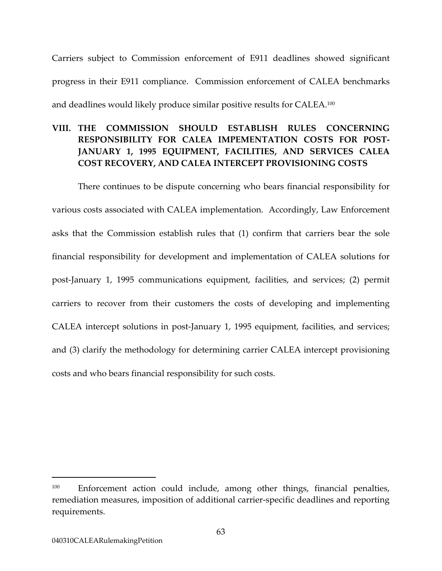Carriers subject to Commission enforcement of E911 deadlines showed significant progress in their E911 compliance. Commission enforcement of CALEA benchmarks and deadlines would likely produce similar positive results for CALEA.[100](#page-67-0) 

# **VIII. THE COMMISSION SHOULD ESTABLISH RULES CONCERNING RESPONSIBILITY FOR CALEA IMPEMENTATION COSTS FOR POST-JANUARY 1, 1995 EQUIPMENT, FACILITIES, AND SERVICES CALEA COST RECOVERY, AND CALEA INTERCEPT PROVISIONING COSTS**

There continues to be dispute concerning who bears financial responsibility for various costs associated with CALEA implementation. Accordingly, Law Enforcement asks that the Commission establish rules that (1) confirm that carriers bear the sole financial responsibility for development and implementation of CALEA solutions for post-January 1, 1995 communications equipment, facilities, and services; (2) permit carriers to recover from their customers the costs of developing and implementing CALEA intercept solutions in post-January 1, 1995 equipment, facilities, and services; and (3) clarify the methodology for determining carrier CALEA intercept provisioning costs and who bears financial responsibility for such costs.

<span id="page-67-0"></span><sup>&</sup>lt;sup>100</sup> Enforcement action could include, among other things, financial penalties, remediation measures, imposition of additional carrier-specific deadlines and reporting requirements.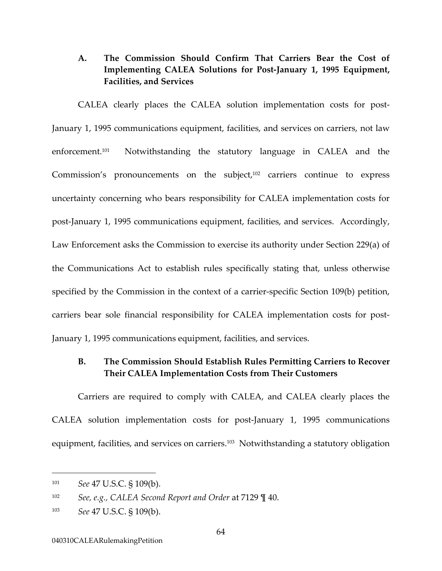## **A. The Commission Should Confirm That Carriers Bear the Cost of Implementing CALEA Solutions for Post-January 1, 1995 Equipment, Facilities, and Services**

CALEA clearly places the CALEA solution implementation costs for post-January 1, 1995 communications equipment, facilities, and services on carriers, not law enforcement[.101](#page-68-0) Notwithstanding the statutory language in CALEA and the Commission's pronouncements on the subject,<sup>102</sup> carriers continue to express uncertainty concerning who bears responsibility for CALEA implementation costs for post-January 1, 1995 communications equipment, facilities, and services. Accordingly, Law Enforcement asks the Commission to exercise its authority under Section 229(a) of the Communications Act to establish rules specifically stating that, unless otherwise specified by the Commission in the context of a carrier-specific Section 109(b) petition, carriers bear sole financial responsibility for CALEA implementation costs for post-January 1, 1995 communications equipment, facilities, and services.

### **B. The Commission Should Establish Rules Permitting Carriers to Recover Their CALEA Implementation Costs from Their Customers**

Carriers are required to comply with CALEA, and CALEA clearly places the CALEA solution implementation costs for post-January 1, 1995 communications equipment, facilities, and services on carriers. [103](#page-68-2) Notwithstanding a statutory obligation

<span id="page-68-0"></span><sup>101</sup> *See* 47 U.S.C. § 109(b).

<span id="page-68-1"></span><sup>102</sup> *See, e.g., CALEA Second Report and Order* at 7129 ¶ 40.

<span id="page-68-2"></span><sup>103</sup> *See* 47 U.S.C. § 109(b).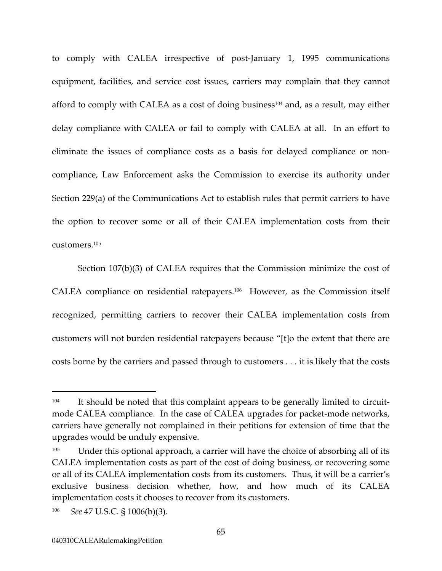to comply with CALEA irrespective of post-January 1, 1995 communications equipment, facilities, and service cost issues, carriers may complain that they cannot afford to comply with CALEA as a cost of doing business<sup>104</sup> and, as a result, may either delay compliance with CALEA or fail to comply with CALEA at all. In an effort to eliminate the issues of compliance costs as a basis for delayed compliance or noncompliance, Law Enforcement asks the Commission to exercise its authority under Section 229(a) of the Communications Act to establish rules that permit carriers to have the option to recover some or all of their CALEA implementation costs from their customers[.105](#page-69-1) 

Section 107(b)(3) of CALEA requires that the Commission minimize the cost of CALEA compliance on residential ratepayers.[106](#page-69-2) However, as the Commission itself recognized, permitting carriers to recover their CALEA implementation costs from customers will not burden residential ratepayers because "[t]o the extent that there are costs borne by the carriers and passed through to customers . . . it is likely that the costs

<span id="page-69-0"></span><sup>&</sup>lt;sup>104</sup> It should be noted that this complaint appears to be generally limited to circuitmode CALEA compliance. In the case of CALEA upgrades for packet-mode networks, carriers have generally not complained in their petitions for extension of time that the upgrades would be unduly expensive.

<span id="page-69-1"></span><sup>&</sup>lt;sup>105</sup> Under this optional approach, a carrier will have the choice of absorbing all of its CALEA implementation costs as part of the cost of doing business, or recovering some or all of its CALEA implementation costs from its customers. Thus, it will be a carrier's exclusive business decision whether, how, and how much of its CALEA implementation costs it chooses to recover from its customers.

<span id="page-69-2"></span><sup>106</sup> *See* 47 U.S.C. § 1006(b)(3).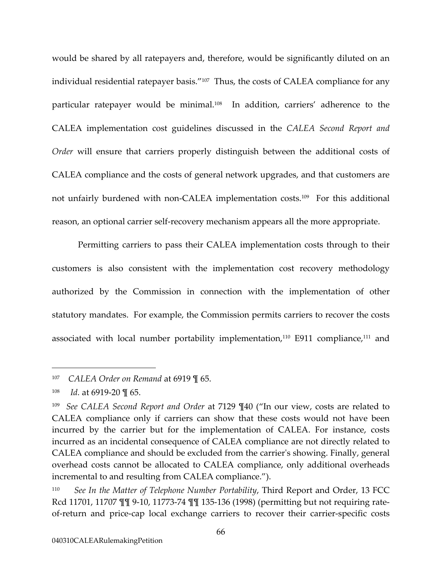<span id="page-70-3"></span>would be shared by all ratepayers and, therefore, would be significantly diluted on an individual residential ratepayer basis."<sup>107</sup> Thus, the costs of CALEA compliance for any particular ratepayer would be minimal[.108](#page-70-1) In addition, carriers' adherence to the CALEA implementation cost guidelines discussed in the *CALEA Second Report and Order* will ensure that carriers properly distinguish between the additional costs of CALEA compliance and the costs of general network upgrades, and that customers are not unfairly burdened with non-CALEA implementation costs.[109](#page-70-2) For this additional reason, an optional carrier self-recovery mechanism appears all the more appropriate.

<span id="page-70-4"></span>Permitting carriers to pass their CALEA implementation costs through to their customers is also consistent with the implementation cost recovery methodology authorized by the Commission in connection with the implementation of other statutory mandates. For example, the Commission permits carriers to recover the costs associated with local number portability implementation,<sup>110</sup> E911 compliance,<sup>111</sup> and

<span id="page-70-0"></span><sup>107</sup> *CALEA Order on Remand* at 6919 ¶ 65.

<span id="page-70-1"></span><sup>108</sup> *Id.* at 6919-20 ¶ 65.

<span id="page-70-2"></span><sup>109</sup> *See CALEA Second Report and Order* at 7129 ¶40 ("In our view, costs are related to CALEA compliance only if carriers can show that these costs would not have been incurred by the carrier but for the implementation of CALEA. For instance, costs incurred as an incidental consequence of CALEA compliance are not directly related to CALEA compliance and should be excluded from the carrier's showing. Finally, general overhead costs cannot be allocated to CALEA compliance, only additional overheads incremental to and resulting from CALEA compliance.").

<sup>110</sup> *See In the Matter of Telephone Number Portability*, Third Report and Order, 13 FCC Rcd 11701, 11707 ¶¶ 9-10, 11773-74 ¶¶ 135-136 (1998) (permitting but not requiring rateof-return and price-cap local exchange carriers to recover their carrier-specific costs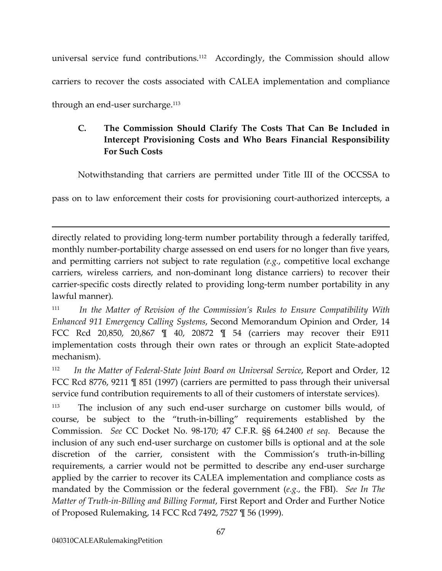universal service fund contributions.[112](#page-71-0) Accordingly, the Commission should allow carriers to recover the costs associated with CALEA implementation and compliance through an end-user surcharge.<sup>113</sup>

# **C. The Commission Should Clarify The Costs That Can Be Included in Intercept Provisioning Costs and Who Bears Financial Responsibility For Such Costs**

Notwithstanding that carriers are permitted under Title III of the OCCSSA to

pass on to law enforcement their costs for provisioning court-authorized intercepts, a

directly related to providing long-term number portability through a federally tariffed, monthly number-portability charge assessed on end users for no longer than five years, and permitting carriers not subject to rate regulation (*e.g.*, competitive local exchange carriers, wireless carriers, and non-dominant long distance carriers) to recover their carrier-specific costs directly related to providing long-term number portability in any lawful manner)*.*

<sup>111</sup> *In the Matter of Revision of the Commission's Rules to Ensure Compatibility With Enhanced 911 Emergency Calling Systems*, Second Memorandum Opinion and Order, 14 FCC Rcd 20,850, 20,867 ¶ 40, 20872 ¶ 54 (carriers may recover their E911 implementation costs through their own rates or through an explicit State-adopted mechanism).

<span id="page-71-0"></span><sup>112</sup> *In the Matter of Federal-State Joint Board on Universal Service*, Report and Order, 12 FCC Rcd 8776, 9211 [ 851 (1997) (carriers are permitted to pass through their universal service fund contribution requirements to all of their customers of interstate services)*.*

<span id="page-71-1"></span><sup>113</sup> The inclusion of any such end-user surcharge on customer bills would, of course, be subject to the "truth-in-billing" requirements established by the Commission. *See* CC Docket No. 98-170; 47 C.F.R. §§ 64.2400 *et seq*. Because the inclusion of any such end-user surcharge on customer bills is optional and at the sole discretion of the carrier, consistent with the Commission's truth-in-billing requirements, a carrier would not be permitted to describe any end-user surcharge applied by the carrier to recover its CALEA implementation and compliance costs as mandated by the Commission or the federal government (*e.g.,* the FBI). *See In The Matter of Truth-in-Billing and Billing Format*, First Report and Order and Further Notice of Proposed Rulemaking, 14 FCC Rcd 7492, 7527 ¶ 56 (1999).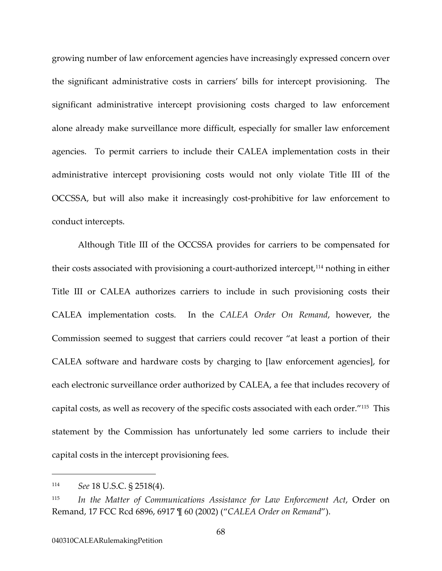growing number of law enforcement agencies have increasingly expressed concern over the significant administrative costs in carriers' bills for intercept provisioning. The significant administrative intercept provisioning costs charged to law enforcement alone already make surveillance more difficult, especially for smaller law enforcement agencies. To permit carriers to include their CALEA implementation costs in their administrative intercept provisioning costs would not only violate Title III of the OCCSSA, but will also make it increasingly cost-prohibitive for law enforcement to conduct intercepts.

Although Title III of the OCCSSA provides for carriers to be compensated for their costs associated with provisioning a court-authorized intercept,[114](#page-72-0) nothing in either Title III or CALEA authorizes carriers to include in such provisioning costs their CALEA implementation costs. In the *CALEA Order On Remand*, however, the Commission seemed to suggest that carriers could recover "at least a portion of their CALEA software and hardware costs by charging to [law enforcement agencies], for each electronic surveillance order authorized by CALEA, a fee that includes recovery of capital costs, as well as recovery of the specific costs associated with each order."[115](#page-72-1) This statement by the Commission has unfortunately led some carriers to include their capital costs in the intercept provisioning fees.

-

<span id="page-72-0"></span><sup>114</sup> *See* 18 U.S.C. § 2518(4).

<span id="page-72-1"></span><sup>115</sup> *In the Matter of Communications Assistance for Law Enforcement Act*, Order on Remand, 17 FCC Rcd 6896, 6917 ¶ 60 (2002) ("*CALEA Order on Remand*").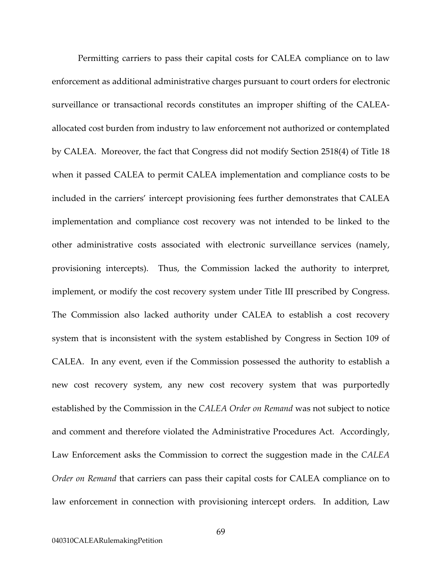Permitting carriers to pass their capital costs for CALEA compliance on to law enforcement as additional administrative charges pursuant to court orders for electronic surveillance or transactional records constitutes an improper shifting of the CALEAallocated cost burden from industry to law enforcement not authorized or contemplated by CALEA. Moreover, the fact that Congress did not modify Section 2518(4) of Title 18 when it passed CALEA to permit CALEA implementation and compliance costs to be included in the carriers' intercept provisioning fees further demonstrates that CALEA implementation and compliance cost recovery was not intended to be linked to the other administrative costs associated with electronic surveillance services (namely, provisioning intercepts). Thus, the Commission lacked the authority to interpret, implement, or modify the cost recovery system under Title III prescribed by Congress. The Commission also lacked authority under CALEA to establish a cost recovery system that is inconsistent with the system established by Congress in Section 109 of CALEA. In any event, even if the Commission possessed the authority to establish a new cost recovery system, any new cost recovery system that was purportedly established by the Commission in the *CALEA Order on Remand* was not subject to notice and comment and therefore violated the Administrative Procedures Act. Accordingly, Law Enforcement asks the Commission to correct the suggestion made in the *CALEA Order on Remand* that carriers can pass their capital costs for CALEA compliance on to law enforcement in connection with provisioning intercept orders. In addition, Law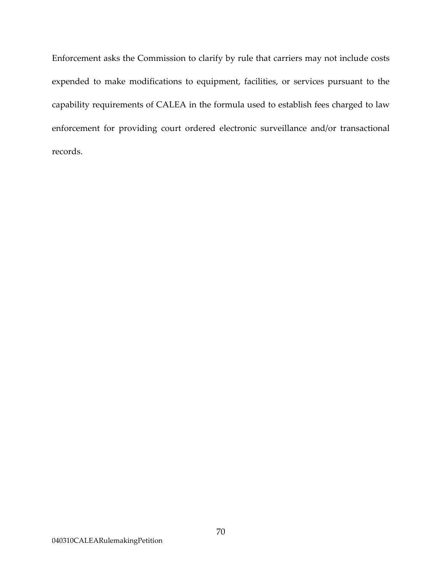Enforcement asks the Commission to clarify by rule that carriers may not include costs expended to make modifications to equipment, facilities, or services pursuant to the capability requirements of CALEA in the formula used to establish fees charged to law enforcement for providing court ordered electronic surveillance and/or transactional records.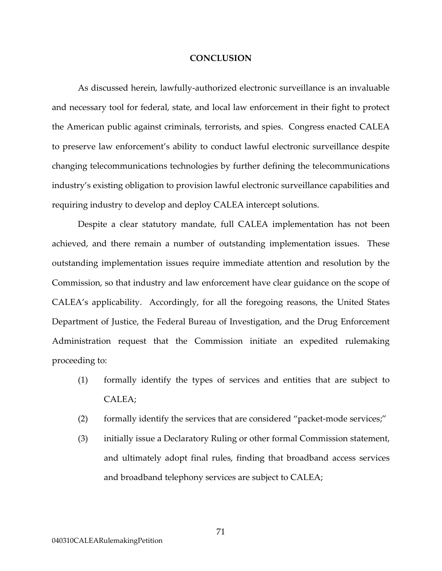## **CONCLUSION**

As discussed herein, lawfully-authorized electronic surveillance is an invaluable and necessary tool for federal, state, and local law enforcement in their fight to protect the American public against criminals, terrorists, and spies. Congress enacted CALEA to preserve law enforcement's ability to conduct lawful electronic surveillance despite changing telecommunications technologies by further defining the telecommunications industry's existing obligation to provision lawful electronic surveillance capabilities and requiring industry to develop and deploy CALEA intercept solutions.

Despite a clear statutory mandate, full CALEA implementation has not been achieved, and there remain a number of outstanding implementation issues. These outstanding implementation issues require immediate attention and resolution by the Commission, so that industry and law enforcement have clear guidance on the scope of CALEA's applicability. Accordingly, for all the foregoing reasons, the United States Department of Justice, the Federal Bureau of Investigation, and the Drug Enforcement Administration request that the Commission initiate an expedited rulemaking proceeding to:

- (1) formally identify the types of services and entities that are subject to CALEA;
- (2) formally identify the services that are considered "packet-mode services;"
- (3) initially issue a Declaratory Ruling or other formal Commission statement, and ultimately adopt final rules, finding that broadband access services and broadband telephony services are subject to CALEA;

71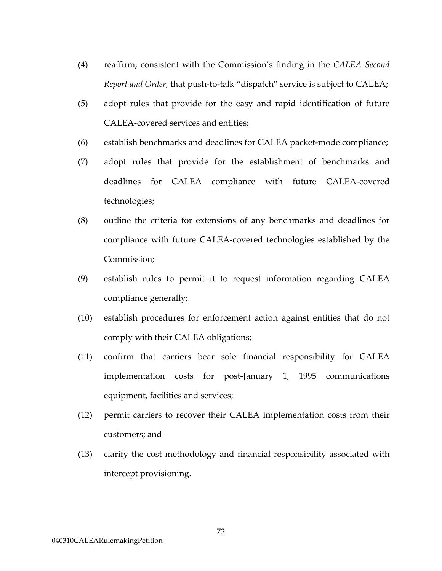- (4) reaffirm, consistent with the Commission's finding in the *CALEA Second Report and Order*, that push-to-talk "dispatch" service is subject to CALEA;
- (5) adopt rules that provide for the easy and rapid identification of future CALEA-covered services and entities;
- (6) establish benchmarks and deadlines for CALEA packet-mode compliance;
- (7) adopt rules that provide for the establishment of benchmarks and deadlines for CALEA compliance with future CALEA-covered technologies;
- (8) outline the criteria for extensions of any benchmarks and deadlines for compliance with future CALEA-covered technologies established by the Commission;
- (9) establish rules to permit it to request information regarding CALEA compliance generally;
- (10) establish procedures for enforcement action against entities that do not comply with their CALEA obligations;
- (11) confirm that carriers bear sole financial responsibility for CALEA implementation costs for post-January 1, 1995 communications equipment, facilities and services;
- (12) permit carriers to recover their CALEA implementation costs from their customers; and
- (13) clarify the cost methodology and financial responsibility associated with intercept provisioning.

72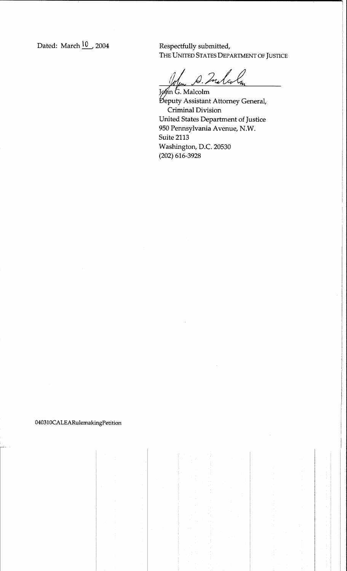Dated: March 10 2004

Respectfully submitted, THE UNITED STATES DEPARTMENT OF JUSTICE

1. Indcole

John G. Malcolm Beputy Assistant Attorney General, Criminal Division United States Department of Justice 950 Pennsylvania Avenue, N.W. Suite 2113 Washington, D.C. 20530  $(202)$  616-3928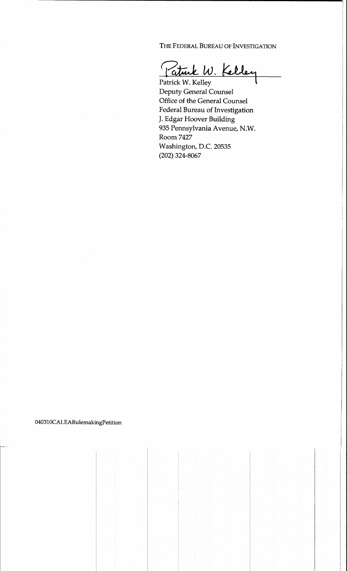THE FEDERAL BUREAU OF INVESTIGATION

Patrick W. Kelley

Patrick W. Kelley **Deputy General Counsel** Office of the General Counsel Federal Bureau of Investigation J. Edgar Hoover Building 935 Pennsylvania Avenue, N.W. Room 7427 Washington, D.C. 20535  $(202)$  324-8067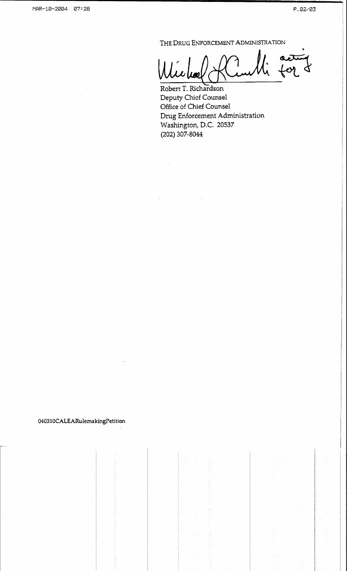THE DRUG ENFORCEMENT ADMINISTRATION

 $\alpha$ 

Robert T. Richardson Deputy Chief Counsel Office of Chief Counsel Drug Enforcement Administration Washington, D.C. 20537 (202) 307-8044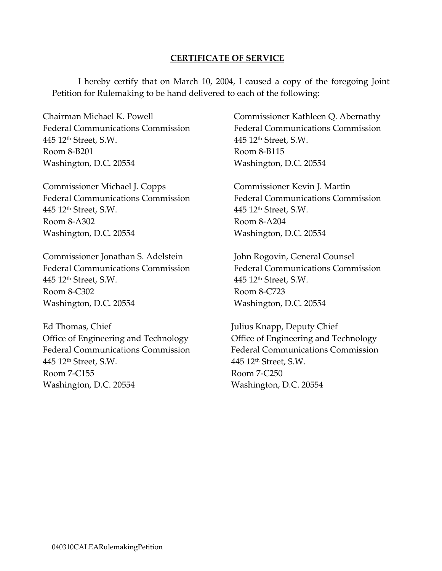## **CERTIFICATE OF SERVICE**

I hereby certify that on March 10, 2004, I caused a copy of the foregoing Joint Petition for Rulemaking to be hand delivered to each of the following:

Chairman Michael K. Powell Federal Communications Commission 445 12th Street, S.W. Room 8-B201 Washington, D.C. 20554

Commissioner Michael J. Copps Federal Communications Commission 445 12th Street, S.W. Room 8-A302 Washington, D.C. 20554

Commissioner Jonathan S. Adelstein Federal Communications Commission 445 12th Street, S.W. Room 8-C302 Washington, D.C. 20554

Ed Thomas, Chief Office of Engineering and Technology Federal Communications Commission 445 12th Street, S.W. Room 7-C155 Washington, D.C. 20554

Commissioner Kathleen Q. Abernathy Federal Communications Commission 445 12th Street, S.W. Room 8-B115 Washington, D.C. 20554

Commissioner Kevin J. Martin Federal Communications Commission 445 12th Street, S.W. Room 8-A204 Washington, D.C. 20554

John Rogovin, General Counsel Federal Communications Commission 445 12th Street, S.W. Room 8-C723 Washington, D.C. 20554

Julius Knapp, Deputy Chief Office of Engineering and Technology Federal Communications Commission 445 12th Street, S.W. Room 7-C250 Washington, D.C. 20554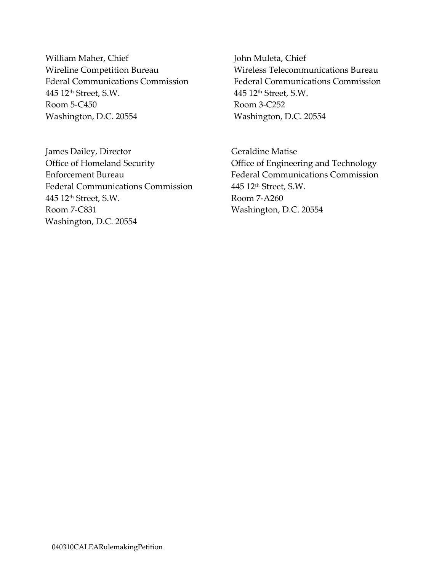William Maher, Chief Wireline Competition Bureau Fderal Communications Commission 445 12th Street, S.W. Room 5-C450 Washington, D.C. 20554

James Dailey, Director Office of Homeland Security Enforcement Bureau Federal Communications Commission 445 12th Street, S.W. Room 7-C831 Washington, D.C. 20554

John Muleta, Chief Wireless Telecommunications Bureau Federal Communications Commission 445 12th Street, S.W. Room 3-C252 Washington, D.C. 20554

Geraldine Matise Office of Engineering and Technology Federal Communications Commission 445 12th Street, S.W. Room 7-A260 Washington, D.C. 20554